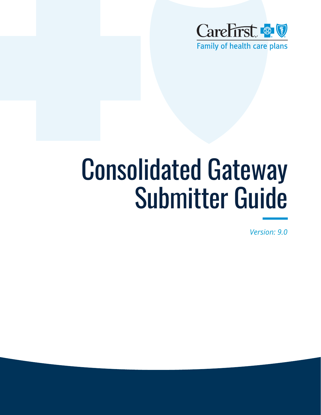

# Consolidated Gateway Submitter Guide

*Version: 9.0*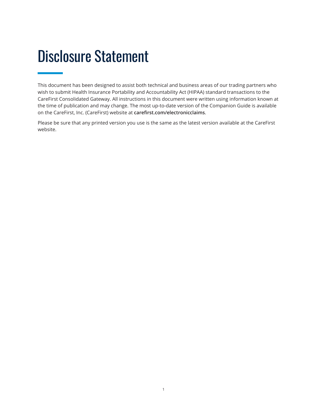### <span id="page-1-0"></span>Disclosure Statement

This document has been designed to assist both technical and business areas of our trading partners who wish to submit Health Insurance Portability and Accountability Act (HIPAA) standard transactions to the CareFirst Consolidated Gateway. All instructions in this document were written using information known at the time of publication and may change. The most up-to-date version of the Companion Guide is available on the CareFirst, Inc. (CareFirst) website at **[carefirst.com/electronicclaims](http://www.carefirst.com/electronicclaims)**.

Please be sure that any printed version you use is the same as the latest version available at the CareFirst website.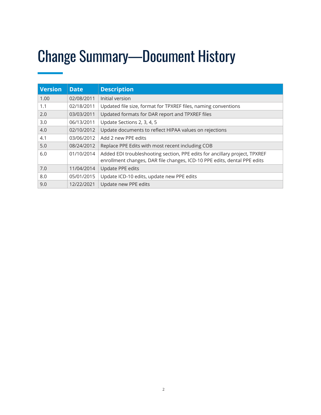### <span id="page-2-0"></span>Change Summary—Document History

| <b>Version</b> | <b>Date</b> | <b>Description</b>                                                                                                                                     |
|----------------|-------------|--------------------------------------------------------------------------------------------------------------------------------------------------------|
| 1.00           | 02/08/2011  | Initial version                                                                                                                                        |
| 1.1            | 02/18/2011  | Updated file size, format for TPXREF files, naming conventions                                                                                         |
| 2.0            | 03/03/2011  | Updated formats for DAR report and TPXREF files                                                                                                        |
| 3.0            | 06/13/2011  | Update Sections 2, 3, 4, 5                                                                                                                             |
| 4.0            | 02/10/2012  | Update documents to reflect HIPAA values on rejections                                                                                                 |
| 4.1            | 03/06/2012  | Add 2 new PPE edits                                                                                                                                    |
| 5.0            | 08/24/2012  | Replace PPE Edits with most recent including COB                                                                                                       |
| 6.0            | 01/10/2014  | Added EDI troubleshooting section, PPE edits for ancillary project, TPXREF<br>enrollment changes, DAR file changes, ICD-10 PPE edits, dental PPE edits |
| 7.0            | 11/04/2014  | Update PPE edits                                                                                                                                       |
| 8.0            | 05/01/2015  | Update ICD-10 edits, update new PPE edits                                                                                                              |
| 9.0            | 12/22/2021  | Update new PPE edits                                                                                                                                   |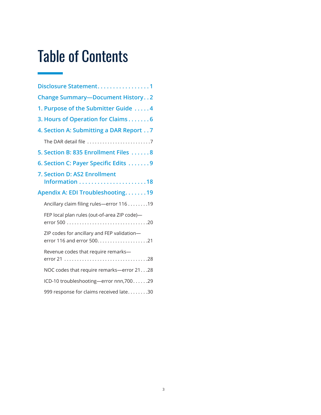### Table of Contents

| Disclosure Statement1                        |
|----------------------------------------------|
| <b>Change Summary-Document History2</b>      |
| 1. Purpose of the Submitter Guide 4          |
| 3. Hours of Operation for Claims6            |
| 4. Section A: Submitting a DAR Report 7      |
|                                              |
| 5. Section B: 835 Enrollment Files 8         |
| 6. Section C: Payer Specific Edits 9         |
| 7. Section D: AS2 Enrollment                 |
| Apendix A: EDI Troubleshooting19             |
| Ancillary claim filing rules-error 116 19    |
| FEP local plan rules (out-of-area ZIP code)- |
| ZIP codes for ancillary and FEP validation-  |
| Revenue codes that require remarks-          |
| NOC codes that require remarks-error 2128    |
| ICD-10 troubleshooting-error nnn, 70029      |
| 999 response for claims received late30      |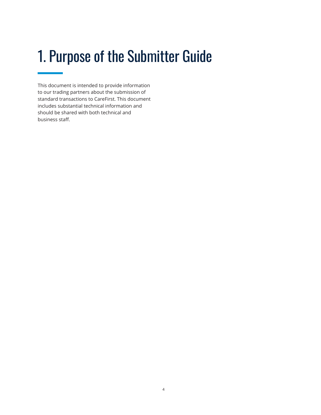### <span id="page-4-0"></span>1. Purpose of the Submitter Guide

This document is intended to provide information to our trading partners about the submission of standard transactions to CareFirst. This document includes substantial technical information and should be shared with both technical and business staff.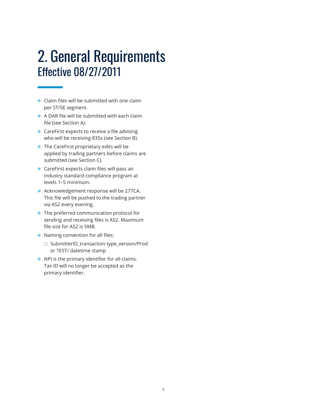### 2. General Requirements Effective 08/27/2011

- Claim files will be submitted with one claim per ST/SE segment.
- A DAR file will be submitted with each claim file (see Section A).
- CareFirst expects to receive a file advising who will be receiving 835s (see Section B).
- The CareFirst proprietary edits will be applied by trading partners before claims are submitted (see Section C).
- CareFirst expects claim files will pass an industry standard compliance program at levels 1–5 minimum.
- Acknowledgement response will be 277CA. This file will be pushed to the trading partner via AS2 every evening.
- The preferred communication protocol for sending and receiving files is AS2. Maximum file size for AS2 is 5MB.
- Naming convention for all files:
	- □ SubmitterID\_transaction type\_version/Prod or TEST/ datetime stamp
- NPI is the primary identifier for all claims. Tax ID will no longer be accepted as the primary identifier.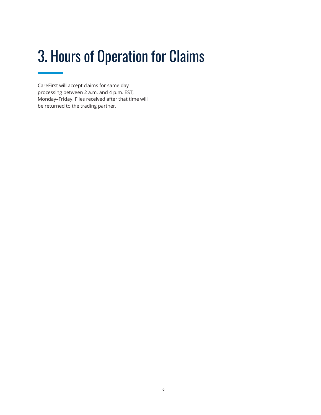### <span id="page-6-0"></span>3. Hours of Operation for Claims

CareFirst will accept claims for same day processing between 2 a.m. and 4 p.m. EST, Monday–Friday. Files received after that time will be returned to the trading partner.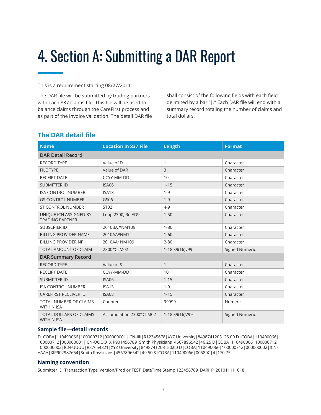### <span id="page-7-0"></span>4. Section A: Submitting a DAR Report

This is a requirement starting 08/27/2011.

The DAR file will be submitted by trading partners with each 837 claims file. This file will be used to balance claims through the CareFirst process and as part of the invoice validation. The detail DAR file shall consist of the following fields with each field delimited by a bar "|." Each DAR file will end with a summary record totaling the number of claims and total dollars.

#### **The DAR detail file**

| <b>Name</b>                                         | <b>Location in 837 File</b> | Length         | <b>Format</b>         |  |
|-----------------------------------------------------|-----------------------------|----------------|-----------------------|--|
| <b>DAR Detail Record</b>                            |                             |                |                       |  |
| <b>RECORD TYPE</b>                                  | Value of D                  | $\mathbf{1}$   | Character             |  |
| <b>FILE TYPE</b>                                    | Value of DAR                | $\overline{3}$ | Character             |  |
| <b>RECEIPT DATE</b>                                 | CCYY-MM-DD                  | 10             | Character             |  |
| <b>SUBMITTER ID</b>                                 | <b>ISA06</b>                | $1 - 15$       | Character             |  |
| <b>ISA CONTROL NUMBER</b>                           | ISA <sub>13</sub>           | $1 - 9$        | Character             |  |
| <b>GS CONTROL NUMBER</b>                            | GS06                        | $1 - 9$        | Character             |  |
| <b>ST CONTROL NUMBER</b>                            | ST02                        | $4 - 9$        | Character             |  |
| UNIQUE ICN ASSIGNED BY<br><b>TRADING PARTNER</b>    | Loop 2300, Ref*D9           | $1 - 50$       | Character             |  |
| <b>SUBSCRIER ID</b>                                 | 2010BA *NM109               | $1 - 80$       | Character             |  |
| <b>BILLING PROVIDER NAME</b>                        | 2010AA*NM1                  | $1 - 60$       | Character             |  |
| <b>BILLING PROVIDER NPI</b>                         | 2010AA*NM109                | $2 - 80$       | Character             |  |
| TOTAL AMOUNT OF CLAIM                               | 2300*CLM02                  | 1-18 S9(16)v99 | <b>Signed Numeric</b> |  |
| <b>DAR Summary Record</b>                           |                             |                |                       |  |
| <b>RECORD TYPE</b>                                  | Value of S                  | $\mathbf{1}$   | Character             |  |
| <b>RECEIPT DATE</b>                                 | CCYY-MM-DD                  | 10             | Character             |  |
| <b>SUBMITTER ID</b>                                 | <b>ISA06</b>                | $1 - 15$       | Character             |  |
| <b>ISA CONTROL NUMBER</b>                           | ISA <sub>13</sub>           | $1 - 9$        | Character             |  |
| <b>CAREFIRST RECEIVER ID</b>                        | <b>ISA08</b>                | $1 - 15$       | Character             |  |
| TOTAL NUMBER OF CLAIMS<br><b>WITHIN ISA</b>         | Counter                     | 99999          | Numeric               |  |
| <b>TOTAL DOLLARS OF CLAIMS</b><br><b>WITHIN ISA</b> | Accumulation 2300*CLM02     | 1-18 S9(16)V99 | <b>Signed Numeric</b> |  |

#### **Sample file—detail records**

D|COBA|110490066|100000712|000000001|ICN-IIII|R12345678|XYZ University|8498741203|25.00 D|COBA|110490066| 100000712|000000001|ICN-OOOO|XIP901456789|Smith Physicians|4567896542|46.25 D|COBA|110490066|100000712 |000000002|ICN-UUUU|R87654321|XYZ University|8498741203|50.00 D|COBA|110490066|100000712|000000002|ICN-AAAA|XIP902987654|Smith Physicians|4567896542|49.50 S|COBA|110490066|00580C|4|170.75

#### **Naming convention**

Submitter ID\_Transaction Type\_Version/Prod or TEST\_DateTime Stamp 123456789\_DARI\_P\_201011111018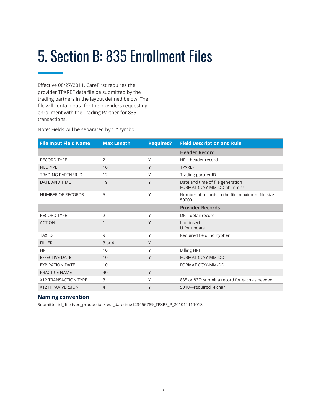### <span id="page-8-0"></span>5. Section B: 835 Enrollment Files

Effective 08/27/2011, CareFirst requires the provider TPXREF data file be submitted by the trading partners in the layout defined below. The file will contain data for the providers requesting enrollment with the Trading Partner for 835 transactions.

Note: Fields will be separated by "|" symbol.

| <b>File Input Field Name</b> | <b>Max Length</b> | <b>Required?</b> | <b>Field Description and Rule</b>                              |
|------------------------------|-------------------|------------------|----------------------------------------------------------------|
|                              |                   |                  | <b>Header Record</b>                                           |
| <b>RECORD TYPE</b>           | $\overline{2}$    | Y                | HR-header record                                               |
| <b>FILETYPE</b>              | 10                | Y                | <b>TPXREF</b>                                                  |
| <b>TRADING PARTNER ID</b>    | 12                | Υ                | Trading partner ID                                             |
| DATE AND TIME                | 19                | Y                | Date and time of file generation<br>FORMAT CCYY-MM-DD hh:mm:ss |
| NUMBER OF RECORDS            | 5                 | Υ                | Number of records in the file; maximum file size<br>50000      |
|                              |                   |                  | <b>Provider Records</b>                                        |
| <b>RECORD TYPE</b>           | $\overline{2}$    | Υ                | DR-detail record                                               |
| <b>ACTION</b>                | 1                 | Y                | I for insert<br>U for update                                   |
| <b>TAX ID</b>                | 9                 | Υ                | Required field, no hyphen                                      |
| <b>FILLER</b>                | 3 or 4            | Y                |                                                                |
| <b>NPI</b>                   | 10                | Y                | <b>Billing NPI</b>                                             |
| <b>EFFECTIVE DATE</b>        | 10                | Y                | FORMAT CCYY-MM-DD                                              |
| <b>EXPIRATION DATE</b>       | 10                |                  | FORMAT CCYY-MM-DD                                              |
| PRACTICE NAME                | 40                | Y                |                                                                |
| X12 TRANSACTION TYPE         | 3                 | Υ                | 835 or 837; submit a record for each as needed                 |
| X12 HIPAA VERSION            | $\overline{4}$    | Y                | 5010-required, 4 char                                          |

#### **Naming convention**

Submitter id\_ file type\_production/test\_datetime123456789\_TPXRF\_P\_201011111018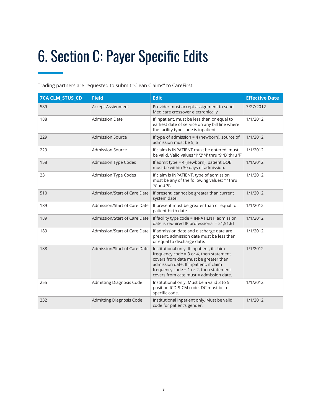## <span id="page-9-0"></span>6. Section C: Payer Specific Edits

Trading partners are requested to submit "Clean Claims" to CareFirst.

| <b>7CA CLM_STUS_CD</b> | <b>Field</b>                    | <b>Edit</b>                                                                                                                                                                                                                                                           | <b>Effective Date</b> |
|------------------------|---------------------------------|-----------------------------------------------------------------------------------------------------------------------------------------------------------------------------------------------------------------------------------------------------------------------|-----------------------|
| 589                    | Accept Assignment               | Provider must accept assignment to send<br>Medicare crossover electronically                                                                                                                                                                                          | 7/27/2012             |
| 188                    | <b>Admission Date</b>           | If inpatient, must be less than or equal to<br>earliest date of service on any bill line where<br>the facility type code is inpatient                                                                                                                                 | 1/1/2012              |
| 229                    | <b>Admission Source</b>         | If type of admission = 4 (newborn), source of<br>admission must be 5, 6                                                                                                                                                                                               | 1/1/2012              |
| 229                    | <b>Admission Source</b>         | If claim is INPATIENT must be entered, must<br>be valid. Valid values '1' '2' '4' thru '9' 'B' thru 'F'                                                                                                                                                               | 1/1/2012              |
| 158                    | <b>Admission Type Codes</b>     | If admit type = 4 (newborn), patient DOB<br>must be within 30 days of admission.                                                                                                                                                                                      | 1/1/2012              |
| 231                    | <b>Admission Type Codes</b>     | If claim is INPATIENT, type of admission<br>must be any of the following values: '1' thru<br>'5' and '9'.                                                                                                                                                             | 1/1/2012              |
| 510                    | Admission/Start of Care Date    | If present, cannot be greater than current<br>system date.                                                                                                                                                                                                            | 1/1/2012              |
| 189                    | Admission/Start of Care Date    | If present must be greater than or equal to<br>patient birth date                                                                                                                                                                                                     | 1/1/2012              |
| 189                    | Admission/Start of Care Date    | If facility type code = INPATIENT, admission<br>date is required IP professional = 21,51,61                                                                                                                                                                           | 1/1/2012              |
| 189                    | Admission/Start of Care Date    | If admission date and discharge date are<br>present, admission date must be less than<br>or equal to discharge date.                                                                                                                                                  | 1/1/2012              |
| 188                    | Admission/Start of Care Date    | Institutional only: If inpatient, if claim<br>frequency code = $3$ or 4, then statement<br>covers from date must be greater than<br>admission date. If inpatient, if claim<br>frequency code = $1$ or $2$ , then statement<br>covers from cate must = admission date. | 1/1/2012              |
| 255                    | <b>Admitting Diagnosis Code</b> | Institutional only. Must be a valid 3 to 5<br>position ICD-9-CM code. DC must be a<br>specific code.                                                                                                                                                                  | 1/1/2012              |
| 232                    | <b>Admitting Diagnosis Code</b> | Institutional inpatient only. Must be valid<br>code for patient's gender.                                                                                                                                                                                             | 1/1/2012              |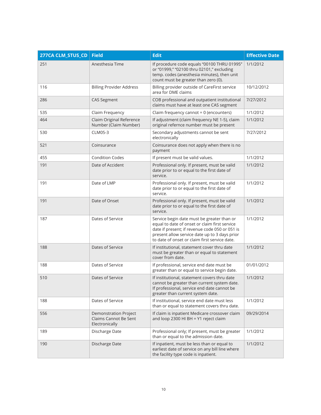| 277CA CLM_STUS_CD | <b>Field</b>                                                            | <b>Edit</b>                                                                                                                                                                                                                                     | <b>Effective Date</b> |
|-------------------|-------------------------------------------------------------------------|-------------------------------------------------------------------------------------------------------------------------------------------------------------------------------------------------------------------------------------------------|-----------------------|
| 251               | Anesthesia Time                                                         | If procedure code equals "00100 THRU 01995"<br>or "01999," "02100 thru 02101," excluding<br>temp. codes (anesthesia minutes), then unit<br>count must be greater than zero (0).                                                                 | 1/1/2012              |
| 116               | <b>Billing Provider Address</b>                                         | Billing provider outside of CareFirst service<br>area for DME claims                                                                                                                                                                            | 10/12/2012            |
| 286               | <b>CAS Segment</b>                                                      | COB professional and outpatient institutional<br>claims must have at least one CAS segment                                                                                                                                                      | 7/27/2012             |
| 535               | Claim Frequency                                                         | Claim frequency cannot = 0 (encounters)                                                                                                                                                                                                         | 1/1/2012              |
| 464               | Claim Original Reference<br>Number (Claim Number)                       | If adjustment (claim frequency NE 1-5), claim<br>original refernce number must be present                                                                                                                                                       | 1/1/2012              |
| 530               | CLM05-3                                                                 | Secondary adjustments cannot be sent<br>electronically                                                                                                                                                                                          | 7/27/2012             |
| 521               | Coinsurance                                                             | Coinsurance does not apply when there is no<br>payment                                                                                                                                                                                          |                       |
| 455               | <b>Condition Codes</b>                                                  | If present must be valid values.                                                                                                                                                                                                                | 1/1/2012              |
| 191               | Date of Accident                                                        | Professional only. If present, must be valid<br>date prior to or equal to the first date of<br>service.                                                                                                                                         | 1/1/2012              |
| 191               | Date of LMP                                                             | Professional only. If present, must be valid<br>date prior to or equal to the first date of<br>service.                                                                                                                                         | 1/1/2012              |
| 191               | Date of Onset                                                           | Professional only. If present, must be valid<br>date prior to or equal to the first date of<br>service.                                                                                                                                         | 1/1/2012              |
| 187               | Dates of Service                                                        | Service begin date must be greater than or<br>equal to date of onset or claim first service<br>date if present; if revenue code 050 or 051 is<br>present allow service date up to 3 days prior<br>to date of onset or claim first service date. | 1/1/2012              |
| 188               | Dates of Service                                                        | If institutional, statement cover thru date<br>must be greater than or equal to statement<br>cover from date.                                                                                                                                   | 1/1/2012              |
| 188               | Dates of Service                                                        | If professional, service end date must be<br>greater than or equal to service begin date.                                                                                                                                                       | 01/01/2012            |
| 510               | Dates of Service                                                        | If institutional, statement covers thru date<br>cannot be greater than current system date.<br>If professional, service end date cannot be<br>greater than current system date.                                                                 | 1/1/2012              |
| 188               | Dates of Service                                                        | If institutional, service end date must less<br>than or equal to statement covers thru date.                                                                                                                                                    | 1/1/2012              |
| 556               | <b>Demonstration Project</b><br>Claims Cannot Be Sent<br>Electronically | If claim is inpatient Medicare crossover claim<br>and loop 2300 HI BH = Y1 reject claim                                                                                                                                                         | 09/29/2014            |
| 189               | Discharge Date                                                          | Professional only; If present, must be greater<br>than or equal to the admission date.                                                                                                                                                          | 1/1/2012              |
| 190               | Discharge Date                                                          | If inpatient, must be less than or equal to<br>earliest date of service on any bill line where<br>the facility type code is inpatient.                                                                                                          | 1/1/2012              |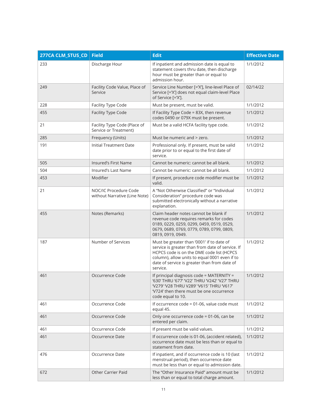| 277CA CLM_STUS_CD | <b>Field</b>                                           | <b>Edit</b>                                                                                                                                                                                                                                             | <b>Effective Date</b> |
|-------------------|--------------------------------------------------------|---------------------------------------------------------------------------------------------------------------------------------------------------------------------------------------------------------------------------------------------------------|-----------------------|
| 233               | Discharge Hour                                         | If inpatient and admission date is equal to<br>statement covers thru date, then discharge<br>hour must be greater than or equal to<br>admission hour.                                                                                                   | 1/1/2012              |
| 249               | Facility Code Value, Place of<br>Service               | Service Line Number [='X'], line-level Place of<br>Service [='X'] does not equal claim-level Place<br>of Service [='X'].                                                                                                                                | 02/14/22              |
| 228               | Facility Type Code                                     | Must be present, must be valid.                                                                                                                                                                                                                         | 1/1/2012              |
| 455               | Facility Type Code                                     | If Facility Type Code = 83X, then revenue<br>codes 0490 or 079X must be present.                                                                                                                                                                        | 1/1/2012              |
| 21                | Facility Type Code (Place of<br>Service or Treatment)  | Must be a valid HCFA facility type code.                                                                                                                                                                                                                | 1/1/2012              |
| 285               | Frequency (Units)                                      | Must be numeric and > zero.                                                                                                                                                                                                                             | 1/1/2012              |
| 191               | Initial Treatment Date                                 | Professional only. If present, must be valid<br>date prior to or equal to the first date of<br>service.                                                                                                                                                 | 1/1/2012              |
| 505               | <b>Insured's First Name</b>                            | Cannot be numeric: cannot be all blank.                                                                                                                                                                                                                 | 1/1/2012              |
| 504               | Insured's Last Name                                    | Cannot be numeric: cannot be all blank.                                                                                                                                                                                                                 | 1/1/2012              |
| 453               | Modifier                                               | If present, procedure code modifier must be<br>valid.                                                                                                                                                                                                   | 1/1/2012              |
| 21                | NOC/IC Procedure Code<br>without Narrative (Line Note) | A "Not Otherwise Classified" or "Individual<br>Consideration" procedure code was<br>submitted electronically without a narrative<br>explanation.                                                                                                        | 1/1/2012              |
| 455               | Notes (Remarks)                                        | Claim header notes cannot be blank if<br>revenue code requires remarks for codes<br>0189, 0229, 0259, 0299, 0459, 0519, 0529,<br>0679, 0689, 0769, 0779, 0789, 0799, 0809,<br>0819, 0919, 0949.                                                         | 1/1/2012              |
| 187               | Number of Services                                     | Must be greater than '0001' if to date of<br>service is greater than from date of service. If<br>HCPCS code is on the DME code list (HCPCS<br>column), allow units to equal 0001 even if to<br>date of service is greater than from date of<br>service. | 1/1/2012              |
| 461               | Occurrence Code                                        | If principal diagnosis code = MATERNITY =<br>'630' THRU '677' 'V22' THRU 'V242' 'V27' THRU<br>'V279' 'V28 THRU V289' 'V615' THRU 'V617'<br>'V724' then there must be one occurrence<br>code equal to 10.                                                | 1/1/2012              |
| 461               | Occurrence Code                                        | If occurrence code = 01-06, value code must<br>equal 45.                                                                                                                                                                                                | 1/1/2012              |
| 461               | Occurrence Code                                        | Only one occurrence code = 01-06, can be<br>entered per claim.                                                                                                                                                                                          | 1/1/2012              |
| 461               | Occurrence Code                                        | If present must be valid values.                                                                                                                                                                                                                        | 1/1/2012              |
| 461               | Occurrence Date                                        | If occurrence code is 01-06, (accident related),<br>occurrence date must be less than or equal to<br>statement from date.                                                                                                                               | 1/1/2012              |
| 476               | Occurrence Date                                        | If inpatient, and if occurrence code is 10 (last<br>menstrual period), then occurrence date<br>must be less than or equal to admission date.                                                                                                            | 1/1/2012              |
| 672               | <b>Other Carrier Paid</b>                              | The "Other Insurance Paid" amount must be<br>less than or equal to total charge amount.                                                                                                                                                                 | 1/1/2012              |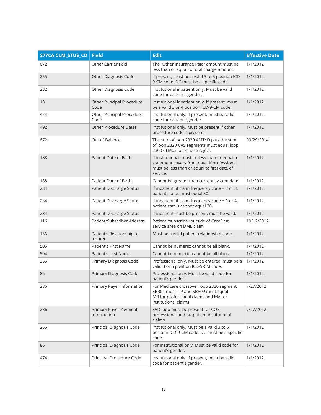| 277CA CLM_STUS_CD | <b>Field</b>                         | <b>Edit</b>                                                                                                                                                | <b>Effective Date</b> |
|-------------------|--------------------------------------|------------------------------------------------------------------------------------------------------------------------------------------------------------|-----------------------|
| 672               | <b>Other Carrier Paid</b>            | The "Other Insurance Paid" amount must be<br>less than or equal to total charge amount.                                                                    | 1/1/2012              |
| 255               | Other Diagnosis Code                 | If present, must be a valid 3 to 5 position ICD-<br>9-CM code. DC must be a specific code.                                                                 | 1/1/2012              |
| 232               | Other Diagnosis Code                 | Institutional inpatient only. Must be valid<br>code for patient's gender.                                                                                  | 1/1/2012              |
| 181               | Other Principal Procedure<br>Code    | Institutional inpatient only. If present, must<br>be a valid 3 or 4 position ICD-9-CM code.                                                                | 1/1/2012              |
| 474               | Other Principal Procedure<br>Code    | Institutional only. If present, must be valid<br>code for patient's gender.                                                                                | 1/1/2012              |
| 492               | <b>Other Procedure Dates</b>         | Institutional only. Must be present if other<br>procedure code is present.                                                                                 | 1/1/2012              |
| 672               | Out of Balance                       | The sum of loop 2320 AMT*D plus the sum<br>of loop 2320 CAS segments must equal loop<br>2300 CLM02, otherwise reject.                                      | 09/29/2014            |
| 188               | Patient Date of Birth                | If institutional, must be less than or equal to<br>statement covers from date. If professional,<br>must be less than or equal to first date of<br>service. | 1/1/2012              |
| 188               | Patient Date of Birth                | Cannot be greater than current system date.                                                                                                                | 1/1/2012              |
| 234               | Patient Discharge Status             | If inpatient, if claim frequency code = 2 or 3,<br>patient status must equal 30.                                                                           | 1/1/2012              |
| 234               | Patient Discharge Status             | If inpatient, if claim frequency code = 1 or 4,<br>patient status cannot equal 30.                                                                         | 1/1/2012              |
| 234               | Patient Discharge Status             | If inpatient must be present, must be valid.                                                                                                               | 1/1/2012              |
| 116               | Patient/Subscriber Address           | Patient /subscriber outside of CareFirst<br>service area on DME claim                                                                                      | 10/12/2012            |
| 156               | Patient's Relationship to<br>Insured | Must be a valid patient relationship code.                                                                                                                 | 1/1/2012              |
| 505               | Patient's First Name                 | Cannot be numeric: cannot be all blank.                                                                                                                    | 1/1/2012              |
| 504               | Patient's Last Name                  | Cannot be numeric: cannot be all blank.                                                                                                                    | 1/1/2012              |
| 255               | Primary Diagnosis Code               | Professional only. Must be entered, must be a<br>valid 3 or 5 position ICD-9-CM code.                                                                      | 1/1/2012              |
| 86                | Primary Diagnosis Code               | Professional only. Must be valid code for<br>patient's gender.                                                                                             | 1/1/2012              |
| 286               | Primary Payer Information            | For Medicare crossover loop 2320 segment<br>SBR01 must = P and SBR09 must equal<br>MB for professional claims and MA for<br>institutional claims.          | 7/27/2012             |
| 286               | Primary Payer Payment<br>Information | SVD loop must be present for COB<br>professional and outpatient institutional<br>claims                                                                    | 7/27/2012             |
| 255               | Principal Diagnosis Code             | Institutional only. Must be a valid 3 to 5<br>position ICD-9-CM code. DC must be a specific<br>code.                                                       | 1/1/2012              |
| 86                | Principal Diagnosis Code             | For institutional only. Must be valid code for<br>patient's gender.                                                                                        | 1/1/2012              |
| 474               | Principal Procedure Code             | Institutional only. If present, must be valid<br>code for patient's gender.                                                                                | 1/1/2012              |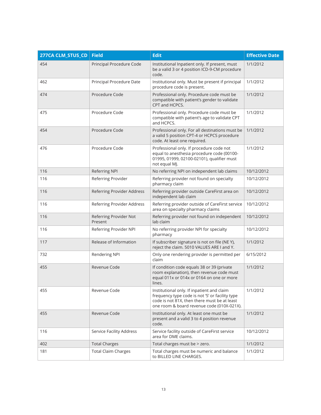| 277CA CLM_STUS_CD | <b>Field</b>                      | <b>Edit</b>                                                                                                                                                                                 | <b>Effective Date</b> |
|-------------------|-----------------------------------|---------------------------------------------------------------------------------------------------------------------------------------------------------------------------------------------|-----------------------|
| 454               | Principal Procedure Code          | Institutional Inpatient only. If present, must<br>be a valid 3 or 4 position ICD-9-CM procedure<br>code.                                                                                    | 1/1/2012              |
| 462               | Principal Procedure Date          | Institutional only. Must be present if principal<br>procedure code is present.                                                                                                              | 1/1/2012              |
| 474               | Procedure Code                    | Professional only. Procedure code must be<br>compatible with patient's gender to validate<br>CPT and HCPCS.                                                                                 | 1/1/2012              |
| 475               | Procedure Code                    | Professional only. Procedure code must be<br>compatible with patient's age to validate CPT<br>and HCPCS.                                                                                    | 1/1/2012              |
| 454               | Procedure Code                    | Professional only. For all destinations must be<br>a valid 5 position CPT-4 or HCPCS procedure<br>code. At least one required.                                                              | 1/1/2012              |
| 476               | Procedure Code                    | Professional only. If procedure code not<br>equal to anesthesia procedure code (00100-<br>01995, 01999, 02100-02101), qualifier must<br>not equal MJ.                                       | 1/1/2012              |
| 116               | Referring NPI                     | No referring NPI on independent lab claims                                                                                                                                                  | 10/12/2012            |
| 116               | Referring Provider                | Referring provider not found on specialty<br>pharmacy claim                                                                                                                                 | 10/12/2012            |
| 116               | Referring Provider Address        | Referring provider outside CareFirst area on<br>independent lab claim                                                                                                                       | 10/12/2012            |
| 116               | Referring Provider Address        | Referring provider outside of CareFirst service<br>area on specialty pharmacy claims                                                                                                        | 10/12/2012            |
| 116               | Referring Provider Not<br>Present | Referring provider not found on independent<br>lab claim                                                                                                                                    | 10/12/2012            |
| 116               | Referring Provider NPI            | No referring provider NPI for specialty<br>pharmacy                                                                                                                                         | 10/12/2012            |
| 117               | Release of Information            | If subscriber signature is not on file (NE Y),<br>reject the claim. 5010 VALUES ARE I and Y.                                                                                                | 1/1/2012              |
| 732               | Rendering NPI                     | Only one rendering provider is permitted per<br>claim                                                                                                                                       | 6/15/2012             |
| 455               | Revenue Code                      | If condition code equals 38 or 39 (private<br>room explanation), then revenue code must<br>equal 011x or 014x or 0164 on one or more<br>lines.                                              | 1/1/2012              |
| 455               | Revenue Code                      | Institutional only. If inpatient and claim<br>frequency type code is not '5' or facility type<br>code is not 81X, then there must be at least<br>one room & board revenue code (010X-021X). | 1/1/2012              |
| 455               | Revenue Code                      | Institutional only. At least one must be<br>present and a valid 3 to 4 position revenue<br>code.                                                                                            | 1/1/2012              |
| 116               | Service Facility Address          | Service facility outside of CareFirst service<br>area for DME claims.                                                                                                                       | 10/12/2012            |
| 402               | <b>Total Charges</b>              | Total charges must be > zero.                                                                                                                                                               | 1/1/2012              |
| 181               | <b>Total Claim Charges</b>        | Total charges must be numeric and balance<br>to BILLED LINE CHARGES.                                                                                                                        | 1/1/2012              |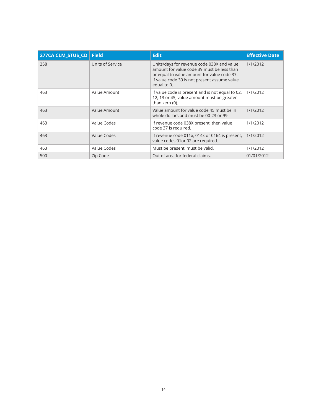| 277CA CLM STUS CD | <b>Field</b>     | <b>Edit</b>                                                                                                                                                                                            | <b>Effective Date</b> |
|-------------------|------------------|--------------------------------------------------------------------------------------------------------------------------------------------------------------------------------------------------------|-----------------------|
| 258               | Units of Service | Units/days for revenue code 038X and value<br>amount for value code 39 must be less than<br>or equal to value amount for value code 37.<br>If value code 39 is not present assume value<br>equal to 0. | 1/1/2012              |
| 463               | Value Amount     | If value code is present and is not equal to 02,<br>12, 13 or 45, value amount must be greater<br>than zero (0).                                                                                       | 1/1/2012              |
| 463               | Value Amount     | Value amount for value code 45 must be in<br>whole dollars and must be 00-23 or 99.                                                                                                                    | 1/1/2012              |
| 463               | Value Codes      | If revenue code 038X present, then value<br>code 37 is required.                                                                                                                                       | 1/1/2012              |
| 463               | Value Codes      | If revenue code 011x, 014x or 0164 is present,<br>value codes 01 or 02 are required.                                                                                                                   | 1/1/2012              |
| 463               | Value Codes      | Must be present, must be valid.                                                                                                                                                                        | 1/1/2012              |
| 500               | Zip Code         | Out of area for federal claims.                                                                                                                                                                        | 01/01/2012            |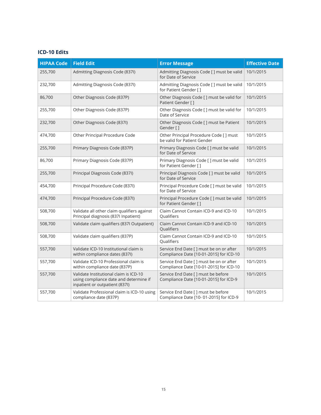#### **ICD-10 Edits**

| <b>HIPAA Code</b> | <b>Field Edit</b>                                                                                                  | <b>Error Message</b>                                                                | <b>Effective Date</b> |
|-------------------|--------------------------------------------------------------------------------------------------------------------|-------------------------------------------------------------------------------------|-----------------------|
| 255,700           | Admitting Diagnosis Code (837I)                                                                                    | Admitting Diagnosis Code [ ] must be valid<br>for Date of Service                   | 10/1/2015             |
| 232,700           | Admitting Diagnosis Code (837I)                                                                                    | Admitting Diagnosis Code [ ] must be valid<br>for Patient Gender []                 | 10/1/2015             |
| 86,700            | Other Diagnosis Code (837P)                                                                                        | Other Diagnosis Code [] must be valid for<br>Patient Gender []                      | 10/1/2015             |
| 255,700           | Other Diagnosis Code (837P)                                                                                        | Other Diagnosis Code [] must be valid for<br>Date of Service                        | 10/1/2015             |
| 232,700           | Other Diagnosis Code (837I)                                                                                        | Other Diagnosis Code [ ] must be Patient<br>Gender []                               | 10/1/2015             |
| 474,700           | Other Principal Procedure Code                                                                                     | Other Principal Procedure Code [ ] must<br>be valid for Patient Gender              | 10/1/2015             |
| 255,700           | Primary Diagnosis Code (837P)                                                                                      | Primary Diagnosis Code [ ] must be valid<br>for Date of Service                     | 10/1/2015             |
| 86,700            | Primary Diagnosis Code (837P)                                                                                      | Primary Diagnosis Code [] must be valid<br>for Patient Gender []                    | 10/1/2015             |
| 255,700           | Principal Diagnosis Code (837I)                                                                                    | Principal Diagnosis Code [ ] must be valid<br>for Date of Service                   | 10/1/2015             |
| 454,700           | Principal Procedure Code (837I)                                                                                    | Principal Procedure Code [] must be valid<br>for Date of Service                    | 10/1/2015             |
| 474,700           | Principal Procedure Code (837I)                                                                                    | Principal Procedure Code [ ] must be valid<br>for Patient Gender []                 | 10/1/2015             |
| 508,700           | Validate all other claim qualifiers against<br>Principal diagnosis (837I Inpatient)                                | Claim Cannot Contain ICD-9 and ICD-10<br>Qualifiers                                 | 10/1/2015             |
| 508,700           | Validate claim qualifiers (837I Outpatient)                                                                        | Claim Cannot Contain ICD-9 and ICD-10<br><b>Qualifiers</b>                          | 10/1/2015             |
| 508,700           | Validate claim qualifiers (837P)                                                                                   | Claim Cannot Contain ICD-9 and ICD-10<br>Qualifiers                                 | 10/1/2015             |
| 557,700           | Validate ICD-10 Institutional claim is<br>within compliance dates (837I)                                           | Service End Date [ ] must be on or after<br>Compliance Date [10-01-2015] for ICD-10 | 10/1/2015             |
| 557,700           | Validate ICD-10 Professional claim is<br>within compliance date (837P)                                             | Service End Date [] must be on or after<br>Compliance Date [10-01-2015] for ICD-10  | 10/1/2015             |
| 557,700           | Validate Institutional claim is ICD-10<br>using compliance date and determine if<br>inpatient or outpatient (837I) | Service End Date [] must be before<br>Compliance Date [10-01-2015] for ICD-9        | 10/1/2015             |
| 557,700           | Validate Professional claim is ICD-10 using<br>compliance date (837P)                                              | Service End Date [ ] must be before<br>Compliance Date [10- 01-2015] for ICD-9      | 10/1/2015             |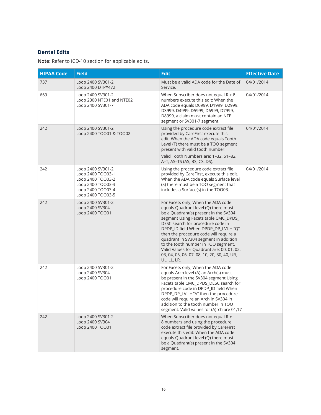#### **Dental Edits**

**Note:** Refer to ICD-10 section for applicable edits.

| <b>HIPAA Code</b> | <b>Field</b>                                                                                                               | <b>Edit</b>                                                                                                                                                                                                                                                                                                                                                                                                                                                                    | <b>Effective Date</b> |
|-------------------|----------------------------------------------------------------------------------------------------------------------------|--------------------------------------------------------------------------------------------------------------------------------------------------------------------------------------------------------------------------------------------------------------------------------------------------------------------------------------------------------------------------------------------------------------------------------------------------------------------------------|-----------------------|
| 737               | Loop 2400 SV301-2<br>Loop 2400 DTP*472                                                                                     | Must be a valid ADA code for the Date of<br>Service.                                                                                                                                                                                                                                                                                                                                                                                                                           | 04/01/2014            |
| 669               | Loop 2400 SV301-2<br>Loop 2300 NTE01 and NTE02<br>Loop 2400 SV301-7                                                        | When Subscriber does not equal $R + 8$<br>numbers execute this edit: When the<br>ADA code equals D0999, D1999, D2999,<br>D3999, D4999, D5999, D6999, D7999,<br>D8999, a claim must contain an NTE<br>segment or SV301-7 segment.                                                                                                                                                                                                                                               | 04/01/2014            |
| 242               | Loop 2400 SV301-2<br>Loop 2400 TOO01 & TOO02                                                                               | Using the procedure code extract file<br>provided by CareFirst execute this<br>edit. When the ADA code equals Tooth<br>Level (T) there must be a TOO segment<br>present with valid tooth number.                                                                                                                                                                                                                                                                               | 04/01/2014            |
|                   |                                                                                                                            | Valid Tooth Numbers are: 1-32, 51-82,<br>A-T, AS-TS (AS, BS, CS, DS).                                                                                                                                                                                                                                                                                                                                                                                                          |                       |
| 242               | Loop 2400 SV301-2<br>Loop 2400 TOO03-1<br>Loop 2400 TOO03-2<br>Loop 2400 TOO03-3<br>Loop 2400 TOO03-4<br>Loop 2400 TOO03-5 | Using the procedure code extract file<br>provided by CareFirst, execute this edit.<br>When the ADA code equals Surface level<br>(S) there must be a TOO segment that<br>includes a Surface(s) in the TOO03.                                                                                                                                                                                                                                                                    | 04/01/2014            |
| 242               | Loop 2400 SV301-2<br>Loop 2400 SV304<br>Loop 2400 TOO01                                                                    | For Facets only, When the ADA code<br>equals Quadrant level (Q) there must<br>be a Quadrant(s) present in the SV304<br>segment Using Facets table CMC_DPDS_<br>DESC search for procedure code in<br>DPDP_ID field When DPDP_DP_LVL = "Q"<br>then the procedure code will require a<br>quadrant in SV304 segment in addition<br>to the tooth number in TOO segment.<br>Valid Values for Quadrant are: 00, 01, 02,<br>03, 04, 05, 06, 07, 08, 10, 20, 30, 40, UR,<br>UL, LL, LR. |                       |
| 242               | Loop 2400 SV301-2<br>Loop 2400 SV304<br>Loop 2400 TOO01                                                                    | For Facets only, When the ADA code<br>equals Arch level (A) an Arch(s) must<br>be present in the SV304 segment Using<br>Facets table CMC_DPDS_DESC search for<br>procedure code in DPDP_ID field When<br>DPDP_DP_LVL = "A" then the procedure<br>code will require an Arch in SV304 in<br>addition to the tooth number in TOO<br>segment. Valid values for (A)rch are 01,17                                                                                                    |                       |
| 242               | Loop 2400 SV301-2<br>Loop 2400 SV304<br>Loop 2400 TOO01                                                                    | When Subscriber does not equal R +<br>8 numbers and using the procedure<br>code extract file provided by CareFirst<br>execute this edit: When the ADA code<br>equals Quadrant level (Q) there must<br>be a Quadrant(s) present in the SV304<br>segment.                                                                                                                                                                                                                        |                       |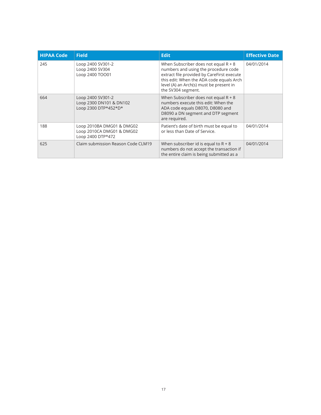| <b>HIPAA Code</b> | <b>Field</b>                                                                | <b>Edit</b>                                                                                                                                                                                                                               | <b>Effective Date</b> |
|-------------------|-----------------------------------------------------------------------------|-------------------------------------------------------------------------------------------------------------------------------------------------------------------------------------------------------------------------------------------|-----------------------|
| 245               | Loop 2400 SV301-2<br>Loop 2400 SV304<br>Loop 2400 TOO01                     | When Subscriber does not equal $R + 8$<br>numbers and using the procedure code<br>extract file provided by CareFirst execute<br>this edit: When the ADA code equals Arch<br>level (A) an Arch(s) must be present in<br>the SV304 segment. | 04/01/2014            |
| 664               | Loop 2400 SV301-2<br>Loop 2300 DN101 & DN102<br>Loop 2300 DTP*452*D*        | When Subscriber does not equal $R + 8$<br>numbers execute this edit: When the<br>ADA code equals D8070, D8080 and<br>D8090 a DN segment and DTP segment<br>are required.                                                                  |                       |
| 188               | Loop 2010BA DMG01 & DMG02<br>Loop 2010CA DMG01 & DMG02<br>Loop 2400 DTP*472 | Patient's date of birth must be equal to<br>or less than Date of Service.                                                                                                                                                                 | 04/01/2014            |
| 625               | Claim submission Reason Code CLM19                                          | When subscriber id is equal to $R + 8$<br>numbers do not accept the transaction if<br>the entire claim is being submitted as a                                                                                                            | 04/01/2014            |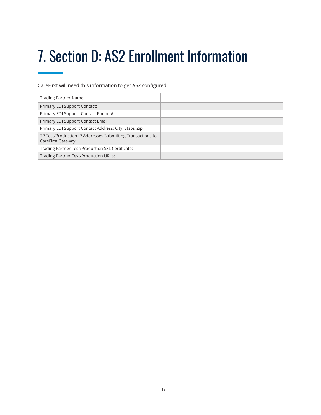# <span id="page-18-0"></span>7. Section D: AS2 Enrollment Information

CareFirst will need this information to get AS2 configured:

| Trading Partner Name:                                                            |  |
|----------------------------------------------------------------------------------|--|
| Primary EDI Support Contact:                                                     |  |
| Primary EDI Support Contact Phone #:                                             |  |
| Primary EDI Support Contact Email:                                               |  |
| Primary EDI Support Contact Address: City, State, Zip:                           |  |
| TP Test/Production IP Addresses Submitting Transactions to<br>CareFirst Gateway: |  |
| Trading Partner Test/Production SSL Certificate:                                 |  |
| <b>Trading Partner Test/Production URLs:</b>                                     |  |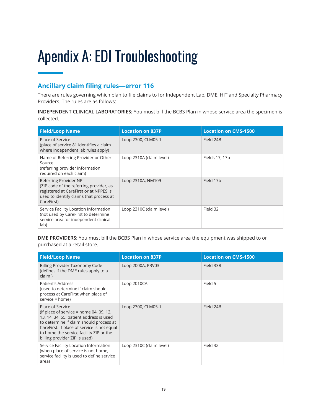## <span id="page-19-0"></span>Apendix A: EDI Troubleshooting

#### **Ancillary claim filing rules—error 116**

There are rules governing which plan to file claims to for Independent Lab, DME, HIT and Specialty Pharmacy Providers. The rules are as follows:

**INDEPENDENT CLINICAL LABORATORIES:** You must bill the BCBS Plan in whose service area the specimen is collected.

| <b>Field/Loop Name</b>                                                                                                                                               | <b>Location on 837P</b>  | <b>Location on CMS-1500</b> |
|----------------------------------------------------------------------------------------------------------------------------------------------------------------------|--------------------------|-----------------------------|
| Place of Service<br>(place of service 81 identifies a claim<br>where independent lab rules apply)                                                                    | Loop 2300, CLM05-1       | Field 24B                   |
| Name of Referring Provider or Other<br>Source<br>(referring provider information<br>required on each claim)                                                          | Loop 2310A (claim level) | Fields 17, 17b              |
| Referring Provider NPI<br>(ZIP code of the referring provider, as<br>registered at CareFirst or at NPPES is<br>used to identify claims that process at<br>CareFirst) | Loop 2310A, NM109        | Field 17b                   |
| Service Facility Location Information<br>(not used by CareFirst to determine<br>service area for independent clinical<br>lab)                                        | Loop 2310C (claim level) | Field 32                    |

**DME PROVIDERS:** You must bill the BCBS Plan in whose service area the equipment was shipped to or purchased at a retail store.

| <b>Field/Loop Name</b>                                                                                                                                                                                                                                                       | <b>Location on 837P</b>  | <b>Location on CMS-1500</b> |
|------------------------------------------------------------------------------------------------------------------------------------------------------------------------------------------------------------------------------------------------------------------------------|--------------------------|-----------------------------|
| Billing Provider Taxonomy Code<br>(defines if the DME rules apply to a<br>claim)                                                                                                                                                                                             | Loop 2000A, PRV03        | Field 33B                   |
| Patient's Address<br>(used to determine if claim should<br>process at CareFirst when place of<br>service = home)                                                                                                                                                             | Loop 2010CA              | Field 5                     |
| Place of Service<br>(if place of service = home 04, 09, 12,<br>13, 14, 34, 55, patient address is used<br>to determine if claim should process at<br>CareFirst. If place of service is not equal<br>to home the service facility ZIP or the<br>billing provider ZIP is used) | Loop 2300, CLM05-1       | Field 24B                   |
| Service Facility Location Information<br>(when place of service is not home,<br>service facility is used to define service<br>area)                                                                                                                                          | Loop 2310C (claim level) | Field 32                    |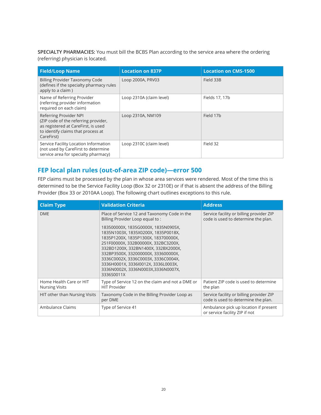<span id="page-20-0"></span>**SPECIALTY PHARMACIES:** You must bill the BCBS Plan according to the service area where the ordering (referring) physician is located.

| <b>Field/Loop Name</b>                                                                                                                                    | <b>Location on 837P</b>  | <b>Location on CMS-1500</b> |
|-----------------------------------------------------------------------------------------------------------------------------------------------------------|--------------------------|-----------------------------|
| Billing Provider Taxonomy Code<br>(defines if the specialty pharmacy rules<br>apply to a claim)                                                           | Loop 2000A, PRV03        | Field 33B                   |
| Name of Referring Provider<br>(referring provider information<br>required on each claim)                                                                  | Loop 2310A (claim level) | Fields 17, 17b              |
| Referring Provider NPI<br>(ZIP code of the referring provider,<br>as registered at CareFirst, is used<br>to identify claims that process at<br>CareFirst) | Loop 2310A, NM109        | Field 17b                   |
| Service Facility Location Information<br>(not used by CareFirst to determine<br>service area for specialty pharmacy)                                      | Loop 2310C (claim level) | Field 32                    |

#### **FEP local plan rules (out-of-area ZIP code)—error 500**

FEP claims must be processed by the plan in whose area services were rendered. Most of the time this is determined to be the Service Facility Loop (Box 32 or 2310E) or if that is absent the address of the Billing Provider (Box 33 or 2010AA Loop). The following chart outlines exceptions to this rule.

| <b>Claim Type</b>                                | <b>Validation Criteria</b>                                                                                                                                                                                                                                                                                                                                                | <b>Address</b>                                                                  |  |  |
|--------------------------------------------------|---------------------------------------------------------------------------------------------------------------------------------------------------------------------------------------------------------------------------------------------------------------------------------------------------------------------------------------------------------------------------|---------------------------------------------------------------------------------|--|--|
| <b>DME</b>                                       | Place of Service 12 and Taxonomy Code in the<br>Billing Provider Loop equal to:                                                                                                                                                                                                                                                                                           | Service facility or billing provider ZIP<br>code is used to determine the plan. |  |  |
|                                                  | 183500000X, 1835G0000X, 1835N0905X,<br>1835N1003X, 1835X0200X, 1835P0018X,<br>1835P1200X, 1835P1300X, 183700000X,<br>251F00000X, 332B00000X, 332BC3200X,<br>332BD1200X, 332BN1400X, 332BX2000X,<br>332BP3500X, 332000000X, 333600000X,<br>3336C0002X, 3336C0003X, 3336C0004X,<br>3336H0001X, 3336I0012X, 3336L0003X,<br>3336N0002X, 3336N0003X, 3336N0007X,<br>3336S0011X |                                                                                 |  |  |
| Home Health Care or HIT<br><b>Nursing Visits</b> | Type of Service 12 on the claim and not a DME or<br><b>HIT Provider</b>                                                                                                                                                                                                                                                                                                   | Patient ZIP code is used to determine<br>the plan                               |  |  |
| HIT other than Nursing Visits                    | Taxonomy Code in the Billing Provider Loop as<br>per DME                                                                                                                                                                                                                                                                                                                  | Service facility or billing provider ZIP<br>code is used to determine the plan. |  |  |
| Ambulance Claims                                 | Type of Service 41                                                                                                                                                                                                                                                                                                                                                        | Ambulance pick up location if present<br>or service facility ZIP if not         |  |  |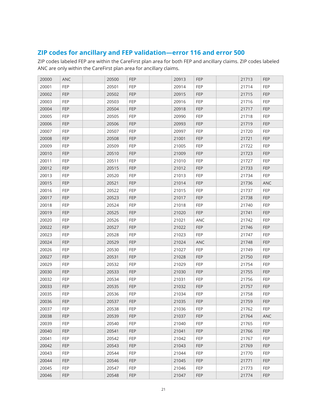#### <span id="page-21-0"></span>**ZIP codes for ancillary and FEP validation—error 116 and error 500**

ZIP codes labeled FEP are within the CareFirst plan area for both FEP and ancillary claims. ZIP codes labeled ANC are only within the CareFirst plan area for ancillary claims.

| 20000 | <b>ANC</b> | 20500 | <b>FEP</b> | 20913 | <b>FEP</b> | 21713 | <b>FEP</b> |
|-------|------------|-------|------------|-------|------------|-------|------------|
| 20001 | FEP        | 20501 | <b>FEP</b> | 20914 | <b>FEP</b> | 21714 | <b>FEP</b> |
| 20002 | <b>FEP</b> | 20502 | <b>FEP</b> | 20915 | <b>FEP</b> | 21715 | <b>FEP</b> |
| 20003 | FEP        | 20503 | <b>FEP</b> | 20916 | <b>FEP</b> | 21716 | <b>FEP</b> |
| 20004 | <b>FEP</b> | 20504 | <b>FEP</b> | 20918 | <b>FEP</b> | 21717 | <b>FEP</b> |
| 20005 | FEP        | 20505 | <b>FEP</b> | 20990 | <b>FEP</b> | 21718 | <b>FEP</b> |
| 20006 | <b>FEP</b> | 20506 | <b>FEP</b> | 20993 | <b>FEP</b> | 21719 | <b>FEP</b> |
| 20007 | FEP        | 20507 | <b>FEP</b> | 20997 | <b>FEP</b> | 21720 | <b>FEP</b> |
| 20008 | <b>FEP</b> | 20508 | <b>FEP</b> | 21001 | <b>FEP</b> | 21721 | <b>FEP</b> |
| 20009 | FEP        | 20509 | <b>FEP</b> | 21005 | <b>FEP</b> | 21722 | <b>FEP</b> |
| 20010 | <b>FEP</b> | 20510 | FEP        | 21009 | <b>FEP</b> | 21723 | <b>FEP</b> |
| 20011 | FEP        | 20511 | FEP        | 21010 | <b>FEP</b> | 21727 | <b>FEP</b> |
| 20012 | <b>FEP</b> | 20515 | <b>FEP</b> | 21012 | <b>FEP</b> | 21733 | <b>FEP</b> |
| 20013 | <b>FEP</b> | 20520 | <b>FEP</b> | 21013 | <b>FEP</b> | 21734 | <b>FEP</b> |
| 20015 | <b>FEP</b> | 20521 | <b>FEP</b> | 21014 | <b>FEP</b> | 21736 | <b>ANC</b> |
| 20016 | FEP        | 20522 | FEP        | 21015 | <b>FEP</b> | 21737 | <b>FEP</b> |
| 20017 | <b>FEP</b> | 20523 | <b>FEP</b> | 21017 | <b>FEP</b> | 21738 | <b>FEP</b> |
| 20018 | FEP        | 20524 | FEP        | 21018 | <b>FEP</b> | 21740 | <b>FEP</b> |
| 20019 | <b>FEP</b> | 20525 | FEP        | 21020 | <b>FEP</b> | 21741 | <b>FEP</b> |
| 20020 | <b>FEP</b> | 20526 | <b>FEP</b> | 21021 | <b>ANC</b> | 21742 | <b>FEP</b> |
| 20022 | <b>FEP</b> | 20527 | <b>FEP</b> | 21022 | <b>FEP</b> | 21746 | <b>FEP</b> |
| 20023 | FEP        | 20528 | FEP        | 21023 | <b>FEP</b> | 21747 | <b>FEP</b> |
| 20024 | FEP        | 20529 | <b>FEP</b> | 21024 | ANC        | 21748 | <b>FEP</b> |
| 20026 | FEP        | 20530 | FEP        | 21027 | <b>FEP</b> | 21749 | <b>FEP</b> |
| 20027 | <b>FEP</b> | 20531 | <b>FEP</b> | 21028 | <b>FEP</b> | 21750 | <b>FEP</b> |
| 20029 | <b>FEP</b> | 20532 | <b>FEP</b> | 21029 | <b>FEP</b> | 21754 | <b>FEP</b> |
| 20030 | FEP        | 20533 | <b>FEP</b> | 21030 | <b>FEP</b> | 21755 | <b>FEP</b> |
| 20032 | FEP        | 20534 | FEP        | 21031 | <b>FEP</b> | 21756 | <b>FEP</b> |
| 20033 | <b>FEP</b> | 20535 | <b>FEP</b> | 21032 | <b>FEP</b> | 21757 | <b>FEP</b> |
| 20035 | <b>FEP</b> | 20536 | <b>FEP</b> | 21034 | <b>FEP</b> | 21758 | <b>FEP</b> |
| 20036 | <b>FEP</b> | 20537 | <b>FEP</b> | 21035 | <b>FEP</b> | 21759 | <b>FEP</b> |
| 20037 | FEP        | 20538 | FEP        | 21036 | FEP        | 21762 | FEP        |
| 20038 | <b>FEP</b> | 20539 | FEP        | 21037 | <b>FEP</b> | 21764 | ANC        |
| 20039 | <b>FEP</b> | 20540 | <b>FEP</b> | 21040 | <b>FEP</b> | 21765 | <b>FEP</b> |
| 20040 | FEP        | 20541 | FEP        | 21041 | <b>FEP</b> | 21766 | <b>FEP</b> |
| 20041 | FEP        | 20542 | <b>FEP</b> | 21042 | <b>FEP</b> | 21767 | <b>FEP</b> |
| 20042 | <b>FEP</b> | 20543 | FEP        | 21043 | <b>FEP</b> | 21769 | <b>FEP</b> |
| 20043 | FEP        | 20544 | <b>FEP</b> | 21044 | <b>FEP</b> | 21770 | FEP        |
| 20044 | <b>FEP</b> | 20546 | <b>FEP</b> | 21045 | <b>FEP</b> | 21771 | <b>FEP</b> |
| 20045 | FEP        | 20547 | <b>FEP</b> | 21046 | <b>FEP</b> | 21773 | <b>FEP</b> |
| 20046 | FEP        | 20548 | FEP        | 21047 | FEP        | 21774 | <b>FEP</b> |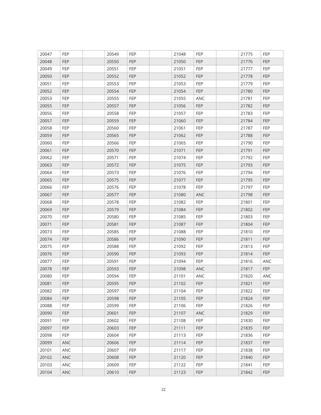| 20047 | <b>FEP</b> | 20549 | <b>FEP</b> | 21048 | <b>FEP</b> | 21775 | FEP        |
|-------|------------|-------|------------|-------|------------|-------|------------|
| 20048 | <b>FEP</b> | 20550 | <b>FEP</b> | 21050 | <b>FEP</b> | 21776 | <b>FEP</b> |
| 20049 | <b>FEP</b> | 20551 | <b>FEP</b> | 21051 | <b>FEP</b> | 21777 | <b>FEP</b> |
| 20050 | <b>FEP</b> | 20552 | <b>FEP</b> | 21052 | <b>FEP</b> | 21778 | <b>FEP</b> |
| 20051 | FEP        | 20553 | FEP        | 21053 | <b>FEP</b> | 21779 | FEP        |
| 20052 | <b>FEP</b> | 20554 | <b>FEP</b> | 21054 | <b>FEP</b> | 21780 | <b>FEP</b> |
| 20053 | FEP        | 20555 | FEP        | 21055 | ANC        | 21781 | <b>FEP</b> |
| 20055 | <b>FEP</b> | 20557 | <b>FEP</b> | 21056 | <b>FEP</b> | 21782 | <b>FEP</b> |
| 20056 | FEP        | 20558 | FEP        | 21057 | <b>FEP</b> | 21783 | <b>FEP</b> |
| 20057 | <b>FEP</b> | 20559 | FEP        | 21060 | <b>FEP</b> | 21784 | <b>FEP</b> |
| 20058 | FEP        | 20560 | FEP        | 21061 | <b>FEP</b> | 21787 | <b>FEP</b> |
| 20059 | FEP        | 20565 | FEP        | 21062 | <b>FEP</b> | 21788 | FEP        |
| 20060 | FEP        | 20566 | FEP        | 21065 | <b>FEP</b> | 21790 | <b>FEP</b> |
| 20061 | FEP        | 20570 | <b>FEP</b> | 21071 | <b>FEP</b> | 21791 | <b>FEP</b> |
| 20062 | FEP        | 20571 | <b>FEP</b> | 21074 | <b>FEP</b> | 21792 | FEP        |
| 20063 | <b>FEP</b> | 20572 | <b>FEP</b> | 21075 | <b>FEP</b> | 21793 | <b>FEP</b> |
| 20064 | FEP        | 20573 | FEP        | 21076 | <b>FEP</b> | 21794 | <b>FEP</b> |
| 20065 | <b>FEP</b> | 20575 | FEP        | 21077 | <b>FEP</b> | 21795 | <b>FEP</b> |
| 20066 | FEP        | 20576 | <b>FEP</b> | 21078 | <b>FEP</b> | 21797 | <b>FEP</b> |
| 20067 | <b>FEP</b> | 20577 | FEP        | 21080 | ANC        | 21798 | <b>FEP</b> |
| 20068 | FEP        | 20578 | <b>FEP</b> | 21082 | <b>FEP</b> | 21801 | <b>FEP</b> |
| 20069 | <b>FEP</b> | 20579 | <b>FEP</b> | 21084 | <b>FEP</b> | 21802 | <b>FEP</b> |
| 20070 | FEP        | 20580 | FEP        | 21085 | <b>FEP</b> | 21803 | <b>FEP</b> |
| 20071 | FEP        | 20581 | <b>FEP</b> | 21087 | <b>FEP</b> | 21804 | <b>FEP</b> |
| 20073 | FEP        | 20585 | FEP        | 21088 | <b>FEP</b> | 21810 | FEP        |
| 20074 | <b>FEP</b> | 20586 | FEP        | 21090 | <b>FEP</b> | 21811 | FEP        |
| 20075 | <b>FEP</b> | 20588 | <b>FEP</b> | 21092 | <b>FEP</b> | 21813 | <b>FEP</b> |
| 20076 | FEP        | 20590 | <b>FEP</b> | 21093 | <b>FEP</b> | 21814 | <b>FEP</b> |
| 20077 | FEP        | 20591 | <b>FEP</b> | 21094 | <b>FEP</b> | 21816 | ANC        |
| 20078 | <b>FEP</b> | 20593 | <b>FEP</b> | 21098 | ANC        | 21817 | <b>FEP</b> |
| 20080 | FEP        | 20594 | FEP        | 21101 | ANC        | 21820 | ANC        |
| 20081 | <b>FEP</b> | 20595 | <b>FEP</b> | 21102 | <b>FEP</b> | 21821 | <b>FEP</b> |
| 20082 | FEP        | 20597 | <b>FEP</b> | 21104 | <b>FEP</b> | 21822 | FEP        |
| 20084 | FEP        | 20598 | FEP        | 21105 | FEP        | 21824 | FEP        |
| 20088 | <b>FEP</b> | 20599 | <b>FEP</b> | 21106 | <b>FEP</b> | 21826 | FEP        |
| 20090 | FEP        | 20601 | FEP        | 21107 | <b>ANC</b> | 21829 | FEP        |
| 20091 | FEP        | 20602 | FEP        | 21108 | <b>FEP</b> | 21830 | <b>FEP</b> |
| 20097 | FEP        | 20603 | FEP        | 21111 | <b>FEP</b> | 21835 | FEP        |
| 20098 | FEP        | 20604 | FEP        | 21113 | <b>FEP</b> | 21836 | FEP        |
| 20099 | ANC        | 20606 | <b>FEP</b> | 21114 | FEP        | 21837 | FEP        |
| 20101 | ANC        | 20607 | <b>FEP</b> | 21117 | <b>FEP</b> | 21838 | <b>FEP</b> |
| 20102 | ANC        | 20608 | FEP        | 21120 | <b>FEP</b> | 21840 | FEP        |
| 20103 | ANC        | 20609 | FEP        | 21122 | <b>FEP</b> | 21841 | FEP        |
| 20104 | ANC        | 20610 | FEP        | 21123 | <b>FEP</b> | 21842 | <b>FEP</b> |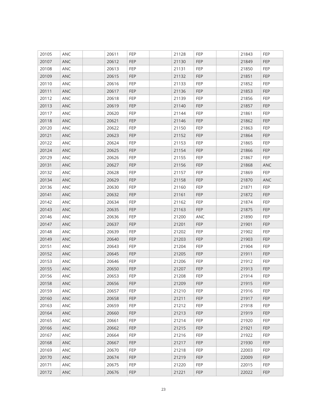| 20105 | ANC | 20611 | <b>FEP</b> | 21128 | <b>FEP</b> | 21843 | FEP        |
|-------|-----|-------|------------|-------|------------|-------|------------|
| 20107 | ANC | 20612 | <b>FEP</b> | 21130 | <b>FEP</b> | 21849 | <b>FEP</b> |
| 20108 | ANC | 20613 | <b>FEP</b> | 21131 | <b>FEP</b> | 21850 | <b>FEP</b> |
| 20109 | ANC | 20615 | <b>FEP</b> | 21132 | <b>FEP</b> | 21851 | <b>FEP</b> |
| 20110 | ANC | 20616 | FEP        | 21133 | <b>FEP</b> | 21852 | FEP        |
| 20111 | ANC | 20617 | <b>FEP</b> | 21136 | <b>FEP</b> | 21853 | <b>FEP</b> |
| 20112 | ANC | 20618 | <b>FEP</b> | 21139 | <b>FEP</b> | 21856 | <b>FEP</b> |
| 20113 | ANC | 20619 | <b>FEP</b> | 21140 | <b>FEP</b> | 21857 | <b>FEP</b> |
| 20117 | ANC | 20620 | FEP        | 21144 | <b>FEP</b> | 21861 | <b>FEP</b> |
| 20118 | ANC | 20621 | FEP        | 21146 | <b>FEP</b> | 21862 | <b>FEP</b> |
| 20120 | ANC | 20622 | FEP        | 21150 | <b>FEP</b> | 21863 | <b>FEP</b> |
| 20121 | ANC | 20623 | FEP        | 21152 | <b>FEP</b> | 21864 | FEP        |
| 20122 | ANC | 20624 | <b>FEP</b> | 21153 | <b>FEP</b> | 21865 | <b>FEP</b> |
| 20124 | ANC | 20625 | <b>FEP</b> | 21154 | <b>FEP</b> | 21866 | <b>FEP</b> |
| 20129 | ANC | 20626 | <b>FEP</b> | 21155 | <b>FEP</b> | 21867 | <b>FEP</b> |
| 20131 | ANC | 20627 | <b>FEP</b> | 21156 | <b>FEP</b> | 21868 | <b>ANC</b> |
| 20132 | ANC | 20628 | FEP        | 21157 | <b>FEP</b> | 21869 | <b>FEP</b> |
| 20134 | ANC | 20629 | <b>FEP</b> | 21158 | <b>FEP</b> | 21870 | <b>ANC</b> |
| 20136 | ANC | 20630 | <b>FEP</b> | 21160 | <b>FEP</b> | 21871 | <b>FEP</b> |
| 20141 | ANC | 20632 | FEP        | 21161 | <b>FEP</b> | 21872 | <b>FEP</b> |
| 20142 | ANC | 20634 | <b>FEP</b> | 21162 | <b>FEP</b> | 21874 | <b>FEP</b> |
| 20143 | ANC | 20635 | <b>FEP</b> | 21163 | <b>FEP</b> | 21875 | <b>FEP</b> |
| 20146 | ANC | 20636 | FEP        | 21200 | ANC        | 21890 | <b>FEP</b> |
| 20147 | ANC | 20637 | <b>FEP</b> | 21201 | <b>FEP</b> | 21901 | <b>FEP</b> |
| 20148 | ANC | 20639 | <b>FEP</b> | 21202 | <b>FEP</b> | 21902 | FEP        |
| 20149 | ANC | 20640 | FEP        | 21203 | <b>FEP</b> | 21903 | FEP        |
| 20151 | ANC | 20643 | <b>FEP</b> | 21204 | <b>FEP</b> | 21904 | <b>FEP</b> |
| 20152 | ANC | 20645 | <b>FEP</b> | 21205 | <b>FEP</b> | 21911 | <b>FEP</b> |
| 20153 | ANC | 20646 | <b>FEP</b> | 21206 | <b>FEP</b> | 21912 | <b>FEP</b> |
| 20155 | ANC | 20650 | <b>FEP</b> | 21207 | <b>FEP</b> | 21913 | <b>FEP</b> |
| 20156 | ANC | 20653 | FEP        | 21208 | <b>FEP</b> | 21914 | FEP        |
| 20158 | ANC | 20656 | <b>FEP</b> | 21209 | <b>FEP</b> | 21915 | <b>FEP</b> |
| 20159 | ANC | 20657 | <b>FEP</b> | 21210 | <b>FEP</b> | 21916 | FEP        |
| 20160 | ANC | 20658 | FEP        | 21211 | FEP        | 21917 | FEP        |
| 20163 | ANC | 20659 | <b>FEP</b> | 21212 | <b>FEP</b> | 21918 | FEP        |
| 20164 | ANC | 20660 | FEP        | 21213 | <b>FEP</b> | 21919 | FEP        |
| 20165 | ANC | 20661 | FEP        | 21214 | <b>FEP</b> | 21920 | <b>FEP</b> |
| 20166 | ANC | 20662 | FEP        | 21215 | <b>FEP</b> | 21921 | FEP        |
| 20167 | ANC | 20664 | FEP        | 21216 | <b>FEP</b> | 21922 | FEP        |
| 20168 | ANC | 20667 | FEP        | 21217 | FEP        | 21930 | FEP        |
| 20169 | ANC | 20670 | <b>FEP</b> | 21218 | <b>FEP</b> | 22003 | <b>FEP</b> |
| 20170 | ANC | 20674 | FEP        | 21219 | <b>FEP</b> | 22009 | FEP        |
| 20171 | ANC | 20675 | FEP        | 21220 | <b>FEP</b> | 22015 | FEP        |
| 20172 | ANC | 20676 | FEP        | 21221 | <b>FEP</b> | 22022 | <b>FEP</b> |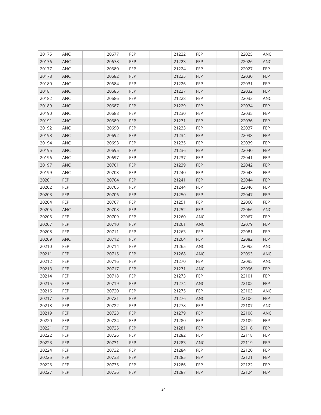| 20175 | ANC        | 20677 | <b>FEP</b> | 21222 | <b>FEP</b> | 22025 | ANC        |
|-------|------------|-------|------------|-------|------------|-------|------------|
| 20176 | ANC        | 20678 | <b>FEP</b> | 21223 | <b>FEP</b> | 22026 | ANC        |
| 20177 | ANC        | 20680 | FEP        | 21224 | <b>FEP</b> | 22027 | <b>FEP</b> |
| 20178 | ANC        | 20682 | <b>FEP</b> | 21225 | <b>FEP</b> | 22030 | <b>FEP</b> |
| 20180 | ANC        | 20684 | FEP        | 21226 | <b>FEP</b> | 22031 | FEP        |
| 20181 | ANC        | 20685 | <b>FEP</b> | 21227 | <b>FEP</b> | 22032 | <b>FEP</b> |
| 20182 | ANC        | 20686 | <b>FEP</b> | 21228 | <b>FEP</b> | 22033 | ANC        |
| 20189 | ANC        | 20687 | <b>FEP</b> | 21229 | <b>FEP</b> | 22034 | <b>FEP</b> |
| 20190 | ANC        | 20688 | FEP        | 21230 | <b>FEP</b> | 22035 | <b>FEP</b> |
| 20191 | ANC        | 20689 | FEP        | 21231 | <b>FEP</b> | 22036 | <b>FEP</b> |
| 20192 | ANC        | 20690 | FEP        | 21233 | <b>FEP</b> | 22037 | <b>FEP</b> |
| 20193 | ANC        | 20692 | FEP        | 21234 | <b>FEP</b> | 22038 | FEP        |
| 20194 | ANC        | 20693 | <b>FEP</b> | 21235 | <b>FEP</b> | 22039 | <b>FEP</b> |
| 20195 | ANC        | 20695 | <b>FEP</b> | 21236 | <b>FEP</b> | 22040 | <b>FEP</b> |
| 20196 | ANC        | 20697 | <b>FEP</b> | 21237 | <b>FEP</b> | 22041 | FEP        |
| 20197 | ANC        | 20701 | <b>FEP</b> | 21239 | <b>FEP</b> | 22042 | <b>FEP</b> |
| 20199 | ANC        | 20703 | FEP        | 21240 | <b>FEP</b> | 22043 | FEP        |
| 20201 | <b>FEP</b> | 20704 | <b>FEP</b> | 21241 | <b>FEP</b> | 22044 | <b>FEP</b> |
| 20202 | FEP        | 20705 | <b>FEP</b> | 21244 | <b>FEP</b> | 22046 | <b>FEP</b> |
| 20203 | <b>FEP</b> | 20706 | FEP        | 21250 | <b>FEP</b> | 22047 | <b>FEP</b> |
| 20204 | FEP        | 20707 | <b>FEP</b> | 21251 | <b>FEP</b> | 22060 | <b>FEP</b> |
| 20205 | ANC        | 20708 | <b>FEP</b> | 21252 | <b>FEP</b> | 22066 | ANC        |
| 20206 | FEP        | 20709 | FEP        | 21260 | ANC        | 22067 | <b>FEP</b> |
| 20207 | FEP        | 20710 | FEP        | 21261 | ANC        | 22079 | <b>FEP</b> |
| 20208 | FEP        | 20711 | FEP        | 21263 | <b>FEP</b> | 22081 | FEP        |
| 20209 | ANC        | 20712 | <b>FEP</b> | 21264 | <b>FEP</b> | 22082 | <b>FEP</b> |
| 20210 | <b>FEP</b> | 20714 | <b>FEP</b> | 21265 | ANC        | 22092 | <b>ANC</b> |
| 20211 | <b>FEP</b> | 20715 | FEP        | 21268 | <b>ANC</b> | 22093 | <b>ANC</b> |
| 20212 | FEP        | 20716 | <b>FEP</b> | 21270 | <b>FEP</b> | 22095 | ANC        |
| 20213 | <b>FEP</b> | 20717 | <b>FEP</b> | 21271 | ANC        | 22096 | <b>FEP</b> |
| 20214 | FEP        | 20718 | FEP        | 21273 | <b>FEP</b> | 22101 | FEP        |
| 20215 | <b>FEP</b> | 20719 | FEP        | 21274 | <b>ANC</b> | 22102 | <b>FEP</b> |
| 20216 | FEP        | 20720 | <b>FEP</b> | 21275 | <b>FEP</b> | 22103 | ANC        |
| 20217 | FEP        | 20721 | FEP        | 21276 | ANC        | 22106 | FEP        |
| 20218 | <b>FEP</b> | 20722 | <b>FEP</b> | 21278 | <b>FEP</b> | 22107 | ANC        |
| 20219 | FEP        | 20723 | FEP        | 21279 | <b>FEP</b> | 22108 | ANC        |
| 20220 | FEP        | 20724 | <b>FEP</b> | 21280 | <b>FEP</b> | 22109 | <b>FEP</b> |
| 20221 | FEP        | 20725 | FEP        | 21281 | <b>FEP</b> | 22116 | FEP        |
| 20222 | FEP        | 20726 | FEP        | 21282 | <b>FEP</b> | 22118 | FEP        |
| 20223 | <b>FEP</b> | 20731 | FEP        | 21283 | ANC        | 22119 | FEP        |
| 20224 | <b>FEP</b> | 20732 | <b>FEP</b> | 21284 | <b>FEP</b> | 22120 | <b>FEP</b> |
| 20225 | FEP        | 20733 | FEP        | 21285 | <b>FEP</b> | 22121 | FEP        |
| 20226 | FEP        | 20735 | FEP        | 21286 | <b>FEP</b> | 22122 | FEP        |
| 20227 | <b>FEP</b> | 20736 | FEP        | 21287 | <b>FEP</b> | 22124 | <b>FEP</b> |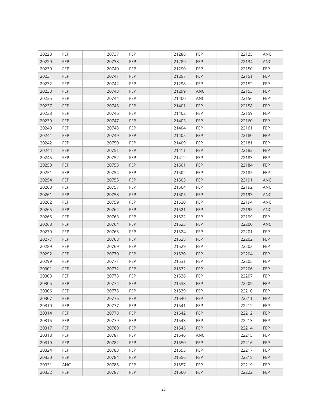| 20228 | <b>FEP</b> | 20737 | <b>FEP</b> | 21288 | <b>FEP</b> | 22125 | ANC        |
|-------|------------|-------|------------|-------|------------|-------|------------|
| 20229 | <b>FEP</b> | 20738 | <b>FEP</b> | 21289 | <b>FEP</b> | 22134 | <b>ANC</b> |
| 20230 | <b>FEP</b> | 20740 | FEP        | 21290 | <b>FEP</b> | 22150 | FEP        |
| 20231 | <b>FEP</b> | 20741 | <b>FEP</b> | 21297 | <b>FEP</b> | 22151 | <b>FEP</b> |
| 20232 | FEP        | 20742 | FEP        | 21298 | <b>FEP</b> | 22152 | FEP        |
| 20233 | <b>FEP</b> | 20743 | <b>FEP</b> | 21299 | <b>ANC</b> | 22153 | <b>FEP</b> |
| 20235 | FEP        | 20744 | <b>FEP</b> | 21400 | ANC        | 22156 | <b>FEP</b> |
| 20237 | <b>FEP</b> | 20745 | <b>FEP</b> | 21401 | <b>FEP</b> | 22158 | <b>FEP</b> |
| 20238 | FEP        | 20746 | FEP        | 21402 | <b>FEP</b> | 22159 | FEP        |
| 20239 | <b>FEP</b> | 20747 | FEP        | 21403 | <b>FEP</b> | 22160 | <b>FEP</b> |
| 20240 | FEP        | 20748 | FEP        | 21404 | <b>FEP</b> | 22161 | <b>FEP</b> |
| 20241 | <b>FEP</b> | 20749 | FEP        | 21405 | <b>FEP</b> | 22180 | <b>FEP</b> |
| 20242 | <b>FEP</b> | 20750 | <b>FEP</b> | 21409 | <b>FEP</b> | 22181 | <b>FEP</b> |
| 20244 | <b>FEP</b> | 20751 | FEP        | 21411 | <b>FEP</b> | 22182 | FEP        |
| 20245 | FEP        | 20752 | <b>FEP</b> | 21412 | <b>FEP</b> | 22183 | FEP        |
| 20250 | <b>FEP</b> | 20753 | <b>FEP</b> | 21501 | <b>FEP</b> | 22184 | <b>FEP</b> |
| 20251 | FEP        | 20754 | FEP        | 21502 | <b>FEP</b> | 22185 | <b>FEP</b> |
| 20254 | <b>FEP</b> | 20755 | <b>FEP</b> | 21503 | <b>FEP</b> | 22191 | ANC        |
| 20260 | FEP        | 20757 | FEP        | 21504 | <b>FEP</b> | 22192 | ANC        |
| 20261 | <b>FEP</b> | 20758 | FEP        | 21505 | <b>FEP</b> | 22193 | ANC        |
| 20262 | FEP        | 20759 | <b>FEP</b> | 21520 | <b>FEP</b> | 22194 | ANC        |
| 20265 | <b>FEP</b> | 20762 | <b>FEP</b> | 21521 | <b>FEP</b> | 22195 | ANC        |
| 20266 | FEP        | 20763 | FEP        | 21522 | <b>FEP</b> | 22199 | <b>FEP</b> |
| 20268 | FEP        | 20764 | FEP        | 21523 | <b>FEP</b> | 22200 | ANC        |
| 20270 | FEP        | 20765 | <b>FEP</b> | 21524 | <b>FEP</b> | 22201 | FEP        |
| 20277 | <b>FEP</b> | 20768 | <b>FEP</b> | 21528 | <b>FEP</b> | 22202 | <b>FEP</b> |
| 20289 | <b>FEP</b> | 20769 | <b>FEP</b> | 21529 | <b>FEP</b> | 22203 | FEP        |
| 20292 | <b>FEP</b> | 20770 | FEP        | 21530 | <b>FEP</b> | 22204 | FEP        |
| 20299 | FEP        | 20771 | FEP        | 21531 | <b>FEP</b> | 22205 | FEP        |
| 20301 | <b>FEP</b> | 20772 | <b>FEP</b> | 21532 | <b>FEP</b> | 22206 | <b>FEP</b> |
| 20303 | FEP        | 20773 | <b>FEP</b> | 21536 | <b>FEP</b> | 22207 | FEP        |
| 20305 | <b>FEP</b> | 20774 | <b>FEP</b> | 21538 | <b>FEP</b> | 22209 | <b>FEP</b> |
| 20306 | FEP        | 20775 | FEP        | 21539 | <b>FEP</b> | 22210 | FEP        |
| 20307 | FEP        | 20776 | FEP        | 21540 | FEP        | 22211 | FEP        |
| 20310 | <b>FEP</b> | 20777 | <b>FEP</b> | 21541 | <b>FEP</b> | 22212 | FEP        |
| 20314 | FEP        | 20778 | FEP        | 21542 | <b>FEP</b> | 22212 | <b>FEP</b> |
| 20315 | FEP        | 20779 | FEP        | 21543 | <b>FEP</b> | 22213 | <b>FEP</b> |
| 20317 | FEP        | 20780 | FEP        | 21545 | <b>FEP</b> | 22214 | FEP        |
| 20318 | FEP        | 20781 | FEP        | 21546 | <b>ANC</b> | 22215 | FEP        |
| 20319 | <b>FEP</b> | 20782 | FEP        | 21550 | <b>FEP</b> | 22216 | FEP        |
| 20324 | <b>FEP</b> | 20783 | <b>FEP</b> | 21555 | <b>FEP</b> | 22217 | <b>FEP</b> |
| 20330 | <b>FEP</b> | 20784 | FEP        | 21556 | <b>FEP</b> | 22218 | <b>FEP</b> |
| 20331 | ANC        | 20785 | FEP        | 21557 | <b>FEP</b> | 22219 | FEP        |
| 20332 | <b>FEP</b> | 20787 | FEP        | 21560 | <b>FEP</b> | 22222 | <b>FEP</b> |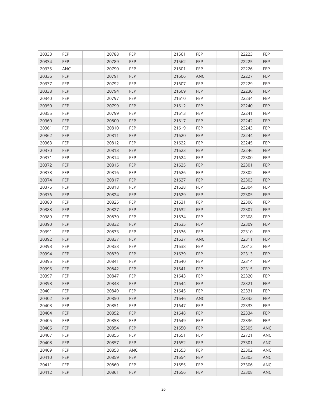| 20333 | <b>FEP</b> | 20788 | <b>FEP</b> | 21561 | <b>FEP</b> | 22223 | FEP        |
|-------|------------|-------|------------|-------|------------|-------|------------|
| 20334 | <b>FEP</b> | 20789 | <b>FEP</b> | 21562 | <b>FEP</b> | 22225 | <b>FEP</b> |
| 20335 | ANC        | 20790 | <b>FEP</b> | 21601 | <b>FEP</b> | 22226 | <b>FEP</b> |
| 20336 | <b>FEP</b> | 20791 | <b>FEP</b> | 21606 | ANC        | 22227 | <b>FEP</b> |
| 20337 | FEP        | 20792 | <b>FEP</b> | 21607 | <b>FEP</b> | 22229 | FEP        |
| 20338 | <b>FEP</b> | 20794 | <b>FEP</b> | 21609 | <b>FEP</b> | 22230 | <b>FEP</b> |
| 20340 | <b>FEP</b> | 20797 | <b>FEP</b> | 21610 | <b>FEP</b> | 22234 | <b>FEP</b> |
| 20350 | <b>FEP</b> | 20799 | <b>FEP</b> | 21612 | <b>FEP</b> | 22240 | <b>FEP</b> |
| 20355 | FEP        | 20799 | FEP        | 21613 | <b>FEP</b> | 22241 | <b>FEP</b> |
| 20360 | <b>FEP</b> | 20800 | <b>FEP</b> | 21617 | <b>FEP</b> | 22242 | <b>FEP</b> |
| 20361 | FEP        | 20810 | FEP        | 21619 | <b>FEP</b> | 22243 | <b>FEP</b> |
| 20362 | FEP        | 20811 | FEP        | 21620 | <b>FEP</b> | 22244 | <b>FEP</b> |
| 20363 | <b>FEP</b> | 20812 | <b>FEP</b> | 21622 | <b>FEP</b> | 22245 | <b>FEP</b> |
| 20370 | FEP        | 20813 | <b>FEP</b> | 21623 | <b>FEP</b> | 22246 | <b>FEP</b> |
| 20371 | FEP        | 20814 | <b>FEP</b> | 21624 | <b>FEP</b> | 22300 | <b>FEP</b> |
| 20372 | <b>FEP</b> | 20815 | <b>FEP</b> | 21625 | <b>FEP</b> | 22301 | <b>FEP</b> |
| 20373 | FEP        | 20816 | FEP        | 21626 | <b>FEP</b> | 22302 | <b>FEP</b> |
| 20374 | <b>FEP</b> | 20817 | <b>FEP</b> | 21627 | <b>FEP</b> | 22303 | <b>FEP</b> |
| 20375 | FEP        | 20818 | <b>FEP</b> | 21628 | <b>FEP</b> | 22304 | <b>FEP</b> |
| 20376 | <b>FEP</b> | 20824 | FEP        | 21629 | <b>FEP</b> | 22305 | <b>FEP</b> |
| 20380 | <b>FEP</b> | 20825 | <b>FEP</b> | 21631 | <b>FEP</b> | 22306 | <b>FEP</b> |
| 20388 | <b>FEP</b> | 20827 | <b>FEP</b> | 21632 | <b>FEP</b> | 22307 | <b>FEP</b> |
| 20389 | <b>FEP</b> | 20830 | FEP        | 21634 | <b>FEP</b> | 22308 | <b>FEP</b> |
| 20390 | FEP        | 20832 | <b>FEP</b> | 21635 | <b>FEP</b> | 22309 | <b>FEP</b> |
| 20391 | FEP        | 20833 | <b>FEP</b> | 21636 | <b>FEP</b> | 22310 | <b>FEP</b> |
| 20392 | <b>FEP</b> | 20837 | <b>FEP</b> | 21637 | ANC        | 22311 | <b>FEP</b> |
| 20393 | <b>FEP</b> | 20838 | <b>FEP</b> | 21638 | <b>FEP</b> | 22312 | <b>FEP</b> |
| 20394 | <b>FEP</b> | 20839 | <b>FEP</b> | 21639 | <b>FEP</b> | 22313 | <b>FEP</b> |
| 20395 | <b>FEP</b> | 20841 | <b>FEP</b> | 21640 | <b>FEP</b> | 22314 | <b>FEP</b> |
| 20396 | <b>FEP</b> | 20842 | <b>FEP</b> | 21641 | <b>FEP</b> | 22315 | <b>FEP</b> |
| 20397 | FEP        | 20847 | <b>FEP</b> | 21643 | <b>FEP</b> | 22320 | <b>FEP</b> |
| 20398 | <b>FEP</b> | 20848 | <b>FEP</b> | 21644 | <b>FEP</b> | 22321 | <b>FEP</b> |
| 20401 | FEP        | 20849 | <b>FEP</b> | 21645 | <b>FEP</b> | 22331 | FEP        |
| 20402 | FEP        | 20850 | FEP        | 21646 | ANC        | 22332 | FEP        |
| 20403 | <b>FEP</b> | 20851 | <b>FEP</b> | 21647 | <b>FEP</b> | 22333 | FEP        |
| 20404 | FEP        | 20852 | FEP        | 21648 | FEP        | 22334 | FEP        |
| 20405 | FEP        | 20853 | FEP        | 21649 | <b>FEP</b> | 22336 | <b>FEP</b> |
| 20406 | FEP        | 20854 | FEP        | 21650 | <b>FEP</b> | 22505 | ANC        |
| 20407 | FEP        | 20855 | FEP        | 21651 | FEP        | 22721 | ANC        |
| 20408 | <b>FEP</b> | 20857 | <b>FEP</b> | 21652 | FEP        | 23301 | ANC        |
| 20409 | <b>FEP</b> | 20858 | <b>ANC</b> | 21653 | <b>FEP</b> | 23302 | ANC        |
| 20410 | FEP        | 20859 | <b>FEP</b> | 21654 | <b>FEP</b> | 23303 | ANC        |
| 20411 | FEP        | 20860 | FEP        | 21655 | <b>FEP</b> | 23306 | ANC        |
| 20412 | FEP        | 20861 | FEP        | 21656 | <b>FEP</b> | 23308 | ANC        |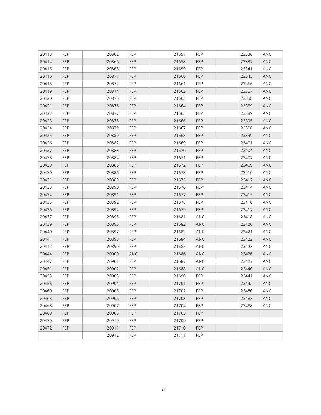| 20413 | FEP        | 20862 | <b>FEP</b> | 21657 | <b>FEP</b> | 23336 | ANC        |
|-------|------------|-------|------------|-------|------------|-------|------------|
| 20414 | FEP        | 20866 | FEP        | 21658 | <b>FEP</b> | 23337 | ANC        |
| 20415 | FEP        | 20868 | FEP        | 21659 | <b>FEP</b> | 23341 | ANC        |
| 20416 | <b>FEP</b> | 20871 | FEP        | 21660 | <b>FEP</b> | 23345 | <b>ANC</b> |
| 20418 | FEP        | 20872 | FEP        | 21661 | <b>FEP</b> | 23356 | ANC        |
| 20419 | <b>FEP</b> | 20874 | <b>FEP</b> | 21662 | <b>FEP</b> | 23357 | ANC        |
| 20420 | FEP        | 20875 | FEP        | 21663 | <b>FEP</b> | 23358 | ANC        |
| 20421 | FEP        | 20876 | FEP        | 21664 | <b>FEP</b> | 23359 | ANC        |
| 20422 | <b>FEP</b> | 20877 | <b>FEP</b> | 21665 | <b>FEP</b> | 23389 | ANC        |
| 20423 | FEP        | 20878 | FEP        | 21666 | <b>FEP</b> | 23395 | ANC        |
| 20424 | FEP        | 20879 | <b>FEP</b> | 21667 | <b>FEP</b> | 23396 | ANC        |
| 20425 | <b>FEP</b> | 20880 | FEP        | 21668 | <b>FEP</b> | 23399 | ANC        |
| 20426 | FEP        | 20882 | FEP        | 21669 | <b>FEP</b> | 23401 | ANC        |
| 20427 | <b>FEP</b> | 20883 | FEP        | 21670 | <b>FEP</b> | 23404 | ANC        |
| 20428 | <b>FEP</b> | 20884 | <b>FEP</b> | 21671 | <b>FEP</b> | 23407 | ANC        |
| 20429 | FEP        | 20885 | FEP        | 21672 | <b>FEP</b> | 23409 | ANC        |
| 20430 | FEP        | 20886 | FEP        | 21673 | <b>FEP</b> | 23410 | ANC        |
| 20431 | <b>FEP</b> | 20889 | <b>FEP</b> | 21675 | <b>FEP</b> | 23412 | ANC        |
| 20433 | <b>FEP</b> | 20890 | FEP        | 21676 | <b>FEP</b> | 23414 | ANC        |
| 20434 | FEP        | 20891 | FEP        | 21677 | <b>FEP</b> | 23415 | ANC        |
| 20435 | FEP        | 20892 | FEP        | 21678 | <b>FEP</b> | 23416 | ANC        |
| 20436 | FEP        | 20894 | FEP        | 21679 | <b>FEP</b> | 23417 | ANC        |
| 20437 | FEP        | 20895 | FEP        | 21681 | ANC        | 23418 | ANC        |
| 20439 | FEP        | 20896 | FEP        | 21682 | ANC        | 23420 | ANC        |
| 20440 | FEP        | 20897 | <b>FEP</b> | 21683 | ANC        | 23421 | ANC        |
| 20441 | FEP        | 20898 | FEP        | 21684 | ANC        | 23422 | ANC        |
| 20442 | FEP        | 20899 | FEP        | 21685 | ANC        | 23423 | ANC        |
| 20444 | <b>FEP</b> | 20900 | ANC        | 21686 | ANC        | 23426 | ANC        |
| 20447 | <b>FEP</b> | 20901 | <b>FEP</b> | 21687 | ANC        | 23427 | ANC        |
| 20451 | <b>FEP</b> | 20902 | FEP        | 21688 | ANC        | 23440 | ANC        |
| 20453 | FEP        | 20903 | <b>FEP</b> | 21690 | FEP        | 23441 | ANC        |
| 20456 | <b>FEP</b> | 20904 | <b>FEP</b> | 21701 | FEP        | 23442 | ANC        |
| 20460 | <b>FEP</b> | 20905 | <b>FEP</b> | 21702 | <b>FEP</b> | 23480 | ANC        |
| 20463 | <b>FEP</b> | 20906 | FEP        | 21703 | FEP        | 23483 | ANC        |
| 20468 | <b>FEP</b> | 20907 | <b>FEP</b> | 21704 | <b>FEP</b> | 23488 | ANC        |
| 20469 | FEP        | 20908 | FEP        | 21705 | FEP        |       |            |
| 20470 | FEP        | 20910 | FEP        | 21709 | <b>FEP</b> |       |            |
| 20472 | <b>FEP</b> | 20911 | FEP        | 21710 | FEP        |       |            |
|       |            | 20912 | FEP        | 21711 | FEP        |       |            |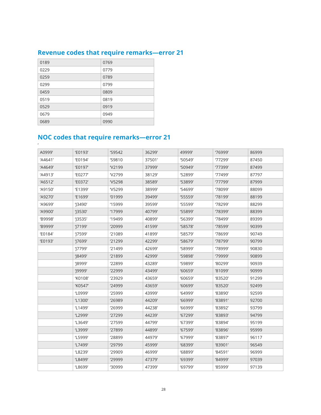### <span id="page-28-0"></span>**Revenue codes that require remarks—error 21**

| 0189 | 0769 |
|------|------|
| 0229 | 0779 |
| 0259 | 0789 |
| 0299 | 0799 |
| 0459 | 0809 |
| 0519 | 0819 |
| 0529 | 0919 |
| 0679 | 0949 |
| 0689 | 0990 |

### **NOC codes that require remarks—error 21**

| A0999'  | 'E0193'    | 'S9542       | 36299' | 49999'  | '76999' | 86999 |
|---------|------------|--------------|--------|---------|---------|-------|
| 'A4641' | 'E0194'    | 'S9810       | 37501' | '50549' | '77299' | 87450 |
| 'A4649' | 'E0197'    | <b>V2199</b> | 37999' | '50949' | '77399' | 87499 |
| 'A4913' | 'E0277'    | <b>V2799</b> | 38129  | '52899' | '77499' | 87797 |
| 'A6512' | 'E0372'    | <b>V5298</b> | 38589' | '53899' | '77799' | 87999 |
| 'A9150' | 'E1399'    | <b>V5299</b> | 38999' | '54699' | '78099' | 88099 |
| 'A9270' | 'E1699'    | '01999       | 39499' | 155559' | '78199' | 88199 |
| 'A9699' | $'$ 3490'  | 15999        | 39599' | '55599' | '78299' | 88299 |
| 'A9900' | $'$ 3530'  | '17999       | 40799' | '55899' | '78399' | 88399 |
| 'B9998' | $'$ 3535'  | '19499       | 40899' | '56399' | '78499' | 89399 |
| 'B9999' | '17199'    | '20999       | 41599' | '58578' | '78599' | 90399 |
| 'E0184' | 'J7599'    | '21089       | 41899' | '58579' | '78699' | 90749 |
| 'E0193' | 'J7699'    | '21299       | 42299' | '58679' | '78799' | 90799 |
|         | $'$  7799' | '21499       | 42699' | '58999' | '78999' | 90830 |
|         | '18499'    | '21899       | 42999' | '59898' | '79999' | 90899 |
|         | '18999'    | '22899       | 43289  | '59899' | '80299' | 90939 |
|         | '19999'    | '22999       | 43499' | '60659' | '81099' | 90999 |
|         | 'K0108'    | '23929       | 43659  | '60659' | '83520' | 91299 |
|         | 'K0547'    | '24999       | 43659  | '60699' | '83520' | 92499 |
|         | 'L0999'    | '25999       | 43999' | '64999' | '83890' | 92599 |
|         | 'L1300'    | '26989       | 44209  | '66999' | '83891' | 92700 |
|         | 'L1499'    | '26999       | 44238  | '66999' | '83892' | 93799 |
|         | 'L2999'    | '27299       | 44239' | '67299' | '83893' | 94799 |
|         | 'L3649'    | '27599       | 44799' | '67399' | '83894' | 95199 |
|         | 'L3999'    | '27899       | 44899' | '67599' | '83896' | 95999 |
|         | 'L5999'    | '28899       | 44979' | '67999' | '83897' | 96117 |
|         | 'L7499'    | '29799       | 45999' | '68399' | '83901' | 96549 |
|         | 'L8239'    | '29909       | 46999' | '68899' | '84591' | 96999 |
|         | 'L8499'    | '29999       | 47379  | '69399' | '84999' | 97039 |
|         | 'L8699'    | '30999       | 47399' | '69799' | '85999' | 97139 |
|         |            |              |        |         |         |       |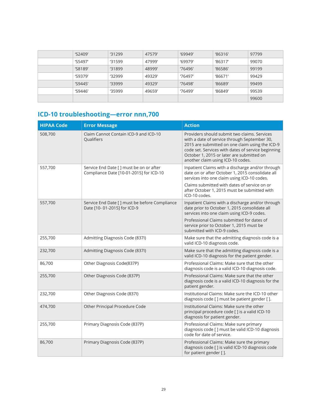<span id="page-29-0"></span>

| $^{\prime}$ S2409' | '31299  | 47579  | '69949' | '86316' | 97799 |
|--------------------|---------|--------|---------|---------|-------|
| 'S5497'            | '31599  | 47999  | '69979' | '86317' | 99070 |
| 'S8189'            | '31899  | 48999' | '76496' | '86586' | 99199 |
| 'S9379'            | '32999' | 49329  | '76497' | '86671' | 99429 |
| '59445'            | '33999  | 49329  | '76498' | '86689' | 99499 |
| 'S9446'            | '35999' | 49659  | '76499' | '86849' | 99539 |
|                    |         |        |         |         | 99600 |

### **ICD-10 troubleshooting—error nnn,700**

| <b>HIPAA Code</b> | <b>Error Message</b>                                                                | <b>Action</b>                                                                                                                                                                                                                                                                           |
|-------------------|-------------------------------------------------------------------------------------|-----------------------------------------------------------------------------------------------------------------------------------------------------------------------------------------------------------------------------------------------------------------------------------------|
| 508,700           | Claim Cannot Contain ICD-9 and ICD-10<br>Qualifiers                                 | Providers should submit two claims. Services<br>with a date of service through September 30,<br>2015 are submitted on one claim using the ICD-9<br>code set. Services with dates of service beginning<br>October 1, 2015 or later are submitted on<br>another claim using ICD-10 codes. |
| 557,700           | Service End Date [ ] must be on or after<br>Compliance Date [10-01-2015] for ICD-10 | Inpatient Claims with a discharge and/or through<br>date on or after October 1, 2015 consolidate all<br>services into one claim using ICD-10 codes.<br>Claims submitted with dates of service on or<br>after October 1, 2015 must be submitted with<br>ICD-10 codes.                    |
| 557,700           | Service End Date [ ] must be before Compliance<br>Date [10-01-2015] for ICD-9       | Inpatient Claims with a discharge and/or through<br>date prior to October 1, 2015 consolidate all<br>services into one claim using ICD-9 codes.<br>Professional Claims submitted for dates of<br>service prior to October 1, 2015 must be<br>submitted with ICD-9 codes.                |
| 255,700           | Admitting Diagnosis Code (837I)                                                     | Make sure that the admitting diagnosis code is a<br>valid ICD-10 diagnosis code.                                                                                                                                                                                                        |
| 232,700           | Admitting Diagnosis Code (837I)                                                     | Make sure that the admitting diagnosis code is a<br>valid ICD-10 diagnosis for the patient gender.                                                                                                                                                                                      |
| 86,700            | Other Diagnosis Code(837P)                                                          | Professional Claims: Make sure that the other<br>diagnosis code is a valid ICD-10 diagnosis code.                                                                                                                                                                                       |
| 255,700           | Other Diagnosis Code (837P)                                                         | Professional Claims: Make sure that the other<br>diagnosis code is a valid ICD-10 diagnosis for the<br>patient gender.                                                                                                                                                                  |
| 232,700           | Other Diagnosis Code (837I)                                                         | Institutional Claims: Make sure the ICD-10 other<br>diagnosis code [ ] must be patient gender [ ].                                                                                                                                                                                      |
| 474,700           | Other Principal Procedure Code                                                      | Institutional Claims: Make sure the other<br>principal procedure code [ ] is a valid ICD-10<br>diagnosis for patient gender.                                                                                                                                                            |
| 255,700           | Primary Diagnosis Code (837P)                                                       | Professional Claims: Make sure primary<br>diagnosis code [] must be valid ICD-10 diagnosis<br>code for date of service.                                                                                                                                                                 |
| 86,700            | Primary Diagnosis Code (837P)                                                       | Professional Claims: Make sure the primary<br>diagnosis code [] is valid ICD-10 diagnosis code<br>for patient gender [].                                                                                                                                                                |